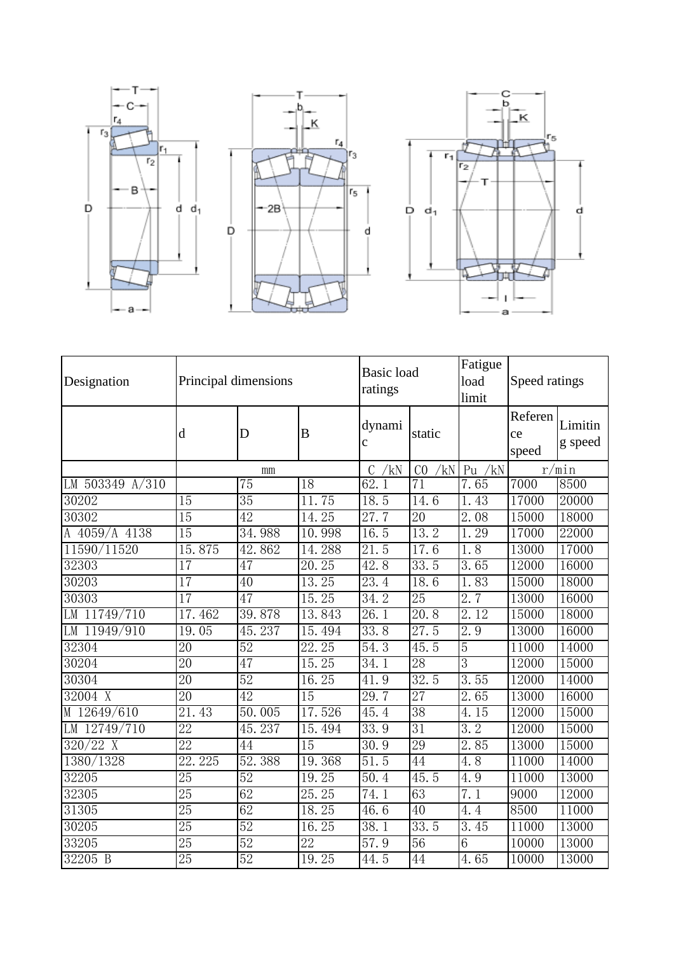

| Designation         | Principal dimensions |                 |                 | <b>Basic</b> load<br>ratings |                       | Fatigue<br>load<br>limit | Speed ratings          |                    |
|---------------------|----------------------|-----------------|-----------------|------------------------------|-----------------------|--------------------------|------------------------|--------------------|
|                     | d                    | D               | B               | dynami<br>$\mathbf c$        | static                |                          | Referen<br>ce<br>speed | Limitin<br>g speed |
|                     | mm                   |                 |                 | /kN<br>C                     | /kN<br>C <sub>0</sub> | Pu $/kN$                 |                        | r/min              |
| LM $503349$ $A/310$ |                      | $\overline{75}$ | $\overline{18}$ | 62.1                         | 71                    | 7.65                     | 7000                   | 8500               |
| 30202               | $\overline{15}$      | 35              | 11.75           | 18.5                         | 14.6                  | 1.43                     | 17000                  | 20000              |
| 30302               | $\overline{15}$      | 42              | 14.25           | 27.7                         | 20                    | $\overline{2.08}$        | 15000                  | 18000              |
| A 4059/A 4138       | 15                   | 34.988          | 10.998          | 16.5                         | 13.2                  | 29<br>1.                 | 17000                  | 22000              |
| 11590/11520         | 15.875               | 42.862          | 14.288          | $\overline{21.5}$            | 17.6                  | 1.8                      | 13000                  | 17000              |
| 32303               | 17                   | 47              | 20.25           | 42.8                         | 33.5                  | 3.65                     | 12000                  | 16000              |
| 30203               | 17                   | $\overline{40}$ | 13.25           | 23.4                         | 18.6                  | 83<br>$\overline{1}$ .   | 15000                  | 18000              |
| 30303               | $\overline{17}$      | 47              | 15.25           | 34.2                         | $\overline{25}$       | 2.7                      | 13000                  | 16000              |
| LM 11749/710        | 17.462               | 39.878          | 13.843          | 26.1                         | 20.8                  | 2.12                     | 15000                  | 18000              |
| LM 11949/910        | 19.05                | 45.237          | 15.494          | 33.8                         | 27.5                  | 2.9                      | 13000                  | 16000              |
| 32304               | 20                   | $\overline{52}$ | 22.25           | 54.3                         | 45.5                  | $\overline{5}$           | 11000                  | 14000              |
| 30204               | $\overline{20}$      | 47              | 15.25           | 34.1                         | 28                    | 3                        | 12000                  | 15000              |
| 30304               | 20                   | $\overline{52}$ | 16.25           | 41.9                         | 32.5                  | 3.55                     | 12000                  | 14000              |
| 32004 X             | $\overline{20}$      | 42              | 15              | 29.7                         | 27                    | 2.65                     | 13000                  | 16000              |
| M 12649/610         | 21.43                | 50.005          | 17.526          | 45.4                         | 38                    | 4.15                     | 12000                  | 15000              |
| LM 12749/710        | 22                   | 45.237          | 15.494          | 33.9                         | 31                    | 3.2                      | 12000                  | 15000              |
| $320/22$ X          | 22                   | 44              | $\overline{15}$ | 30.9                         | 29                    | 2.85                     | 13000                  | 15000              |
| 1380/1328           | 22.225               | 52.388          | 19.368          | 51.5                         | 44                    | 4.8                      | 11000                  | 14000              |
| 32205               | 25                   | $\overline{52}$ | 19.25           | $\overline{50.4}$            | 45.5                  | 4.9                      | 11000                  | 13000              |
| 32305               | 25                   | 62              | 25.25           | 74.1                         | 63                    | 7.1                      | 9000                   | 12000              |
| 31305               | $\overline{25}$      | 62              | 18.25           | 46.6                         | 40                    | 4.4                      | 8500                   | 11000              |
| 30205               | 25                   | 52              | 16.25           | 38.1                         | 33.5                  | 3.45                     | 11000                  | 13000              |
| 33205               | $\overline{25}$      | 52              | $\overline{22}$ | $\overline{57}$ . 9          | $\overline{56}$       | $\overline{6}$           | 10000                  | 13000              |
| 32205 B             | 25                   | 52              | 19.25           | 44.5                         | 44                    | 4.65                     | 10000                  | 13000              |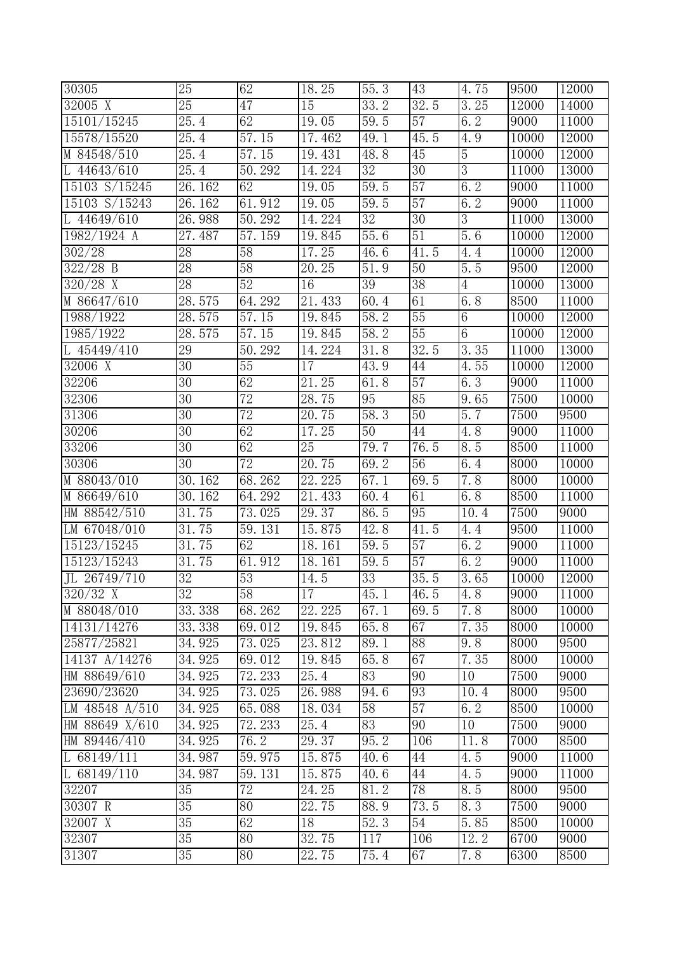| 30305          | 25                | 62              | 18.25  | 55.3                | 43              | 4.75               | 9500              | 12000 |
|----------------|-------------------|-----------------|--------|---------------------|-----------------|--------------------|-------------------|-------|
| $32005$ X      | $\overline{25}$   | 47              | 15     | 33.2                | 32.5            | 3.25               | 12000             | 14000 |
| 15101/15245    | 25.4              | 62              | 19.05  | 59.5                | 57              | 6.2                | 9000              | 11000 |
| 15578/15520    | $\overline{2}5.4$ | 57.15           | 17.462 | 49.1                | 45.5            | $4.\overline{9}$   | 10000             | 12000 |
| M 84548/510    | $\overline{25.4}$ | 57.15           | 19.431 | 48.8                | $\overline{45}$ | $\overline{5}$     | 10000             | 12000 |
| L $44643/610$  | $\overline{2}5.4$ | 50.292          | 14.224 | $\overline{32}$     | $\overline{30}$ | $\overline{3}$     | 11000             | 13000 |
| 15103 S/15245  | 26.162            | 62              | 19.05  | 59.5                | 57              | 6.2                | 9000              | 11000 |
| 15103 S/15243  | 26.162            | 61.912          | 19.05  | 59.5                | 57              | 6.2                | 9000              | 11000 |
| L $44649/610$  | 26.988            | 50.292          | 14.224 | $\overline{32}$     | $\overline{30}$ | $\overline{3}$     | 11000             | 13000 |
| 1982/1924 A    | 27.487            | 57.159          | 19.845 | 55.6                | 51              | 5.6                | 10000             | 12000 |
| 302/28         | $\overline{28}$   | 58              | 17.25  | $\overline{46}$ . 6 | 41.5            | 4.4                | 10000             | 12000 |
| $322/28$ B     | $\overline{28}$   | 58              | 20.25  | 51.9                | 50              | 5.5                | 9500              | 12000 |
| $320/28$ X     | $\overline{28}$   | 52              | 16     | $\overline{39}$     | $\overline{38}$ | $\overline{4}$     | 10000             | 13000 |
| M 86647/610    | 28.575            | 64.292          | 21.433 | 60.4                | 61              | $\overline{6}$ . 8 | 8500              | 11000 |
| 1988/1922      | 28.575            | 57.15           | 19.845 | 58.2                | 55              | $6\overline{6}$    | <b>10000</b>      | 12000 |
| 1985/1922      | 28.575            | 57.15           | 19.845 | 58.2                | 55              | $\overline{6}$     | 10000             | 12000 |
| L 45449/410    | 29                | 50.292          | 14.224 | 31.8                | 32.5            | 3.35               | 11000             | 13000 |
| 32006 X        | $\overline{30}$   | 55              | 17     | 43.9                | 44              | 4.55               | 10000             | 12000 |
| 32206          | 30                | 62              | 21.25  | 61.8                | $\overline{57}$ | 6.3                | 9000              | 11000 |
| 32306          | $\overline{30}$   | 72              | 28.75  | 95                  | 85              | 9.65               | 7500              | 10000 |
| 31306          | $\overline{30}$   | 72              | 20.75  | 58.3                | 50              | 5.7                | 7500              | 9500  |
| 30206          | 30                | 62              | 17.25  | 50                  | 44              | 4.8                | 9000              | 11000 |
| 33206          | $\overline{30}$   | 62              | 25     | 79.7                | 76.5            | 8.5                | 8500              | 11000 |
| 30306          | 30                | $\overline{72}$ | 20.75  | 69.2                | $\overline{56}$ | $\overline{6}$ . 4 | 8000              | 10000 |
| M 88043/010    | 30.162            | 68.262          | 22.225 | 67.1                | 69.5            | 7.8                | $\overline{800}$  | 10000 |
| M 86649/610    | 30.162            | 64.292          | 21.433 | 60.4                | 61              | 6.8                | 8500              | 11000 |
| HM 88542/510   | 31.75             | 73.025          | 29.37  | 86.5                | 95              | 10.4               | 7500              | 9000  |
| LM 67048/010   | 31.75             | 59.131          | 15.875 | 42.8                | 41.5            | 4.4                | 9500              | 11000 |
| 15123/15245    | 31.75             | 62              | 18.161 | 59.5                | 57              | 6.2                | 9000              | 11000 |
| 15123/15243    | 31.75             | 61.912          | 18.161 | 59.5                | 57              | 6.2                | $\overline{9000}$ | 11000 |
| JL 26749/710   | $\overline{32}$   | 53              | 14.5   | $\overline{33}$     | 35.5            | 3.65               | 10000             | 12000 |
| $320/32$ X     | 32                | 58              | 17     | 45.1                | 46.5            | 4.8                | 9000              | 11000 |
| M 88048/010    | 33.338            | 68.262          | 22.225 | 67.1                | 69.5            | 7.8                | 8000              | 10000 |
| 14131/14276    | 33.338            | 69.012          | 19.845 | 65.8                | 67              | 7.35               | 8000              | 10000 |
| 25877/25821    | 34.925            | 73.025          | 23.812 | 89.1                | 88              | 9.8                | $\overline{800}$  | 9500  |
| 14137 A/14276  | 34.925            | 69.012          | 19.845 | 65.8                | 67              | 7.35               | 8000              | 10000 |
| HM 88649/610   | 34.925            | 72.233          | 25.4   | 83                  | 90              | 10                 | 7500              | 9000  |
| 23690/23620    | 34.925            | 73.025          | 26.988 | 94.6                | 93              | 10.4               | 8000              | 9500  |
| LM 48548 A/510 | 34.925            | 65.088          | 18.034 | 58                  | 57              | 6.2                | 8500              | 10000 |
| HM 88649 X/610 | 34.925            | 72.233          | 25.4   | 83                  | 90              | 10                 | 7500              | 9000  |
| HM 89446/410   | 34.925            | 76.2            | 29.37  | 95.2                | 106             | 11.8               | 7000              | 8500  |
| L $68149/111$  | 34.987            | 59.975          | 15.875 | 40.6                | 44              | 4.5                | 9000              | 11000 |
| L $68149/110$  | 34.987            | 59.131          | 15.875 | 40.6                | 44              | 4.5                | 9000              | 11000 |
| 32207          | $\overline{35}$   | $\overline{72}$ | 24.25  | 81.2                | 78              | 8.5                | 8000              | 9500  |
| 30307 R        | $35\,$            | 80              | 22.75  | 88.9                | 73.5            | 8.3                | $\overline{75}00$ | 9000  |
| 32007 X        | $\overline{35}$   | 62              | 18     | 52.3                | 54              | 5.85               | 8500              | 10000 |
| 32307          | $\overline{35}$   | 80              | 32.75  | 117                 | 106             | 12.2               | 6700              | 9000  |
| 31307          | 35                | 80              | 22.75  | 75.4                | 67              | 7.8                | 6300              | 8500  |
|                |                   |                 |        |                     |                 |                    |                   |       |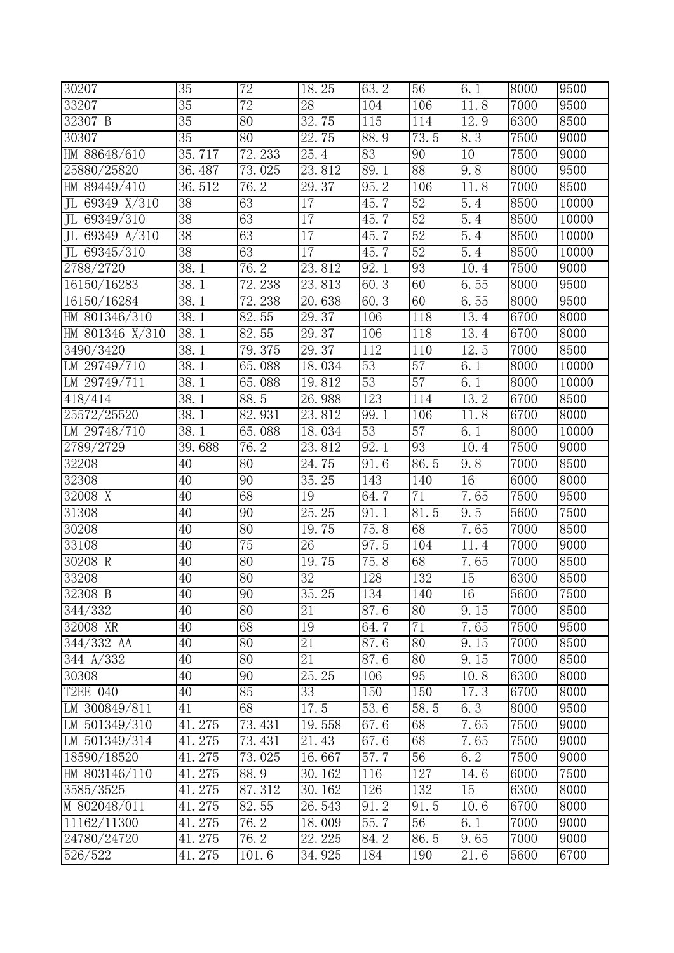| 30207                           | 35                | $\overline{72}$ | 18.25              | 63.2            | 56   | 6.1                | 8000              | 9500  |
|---------------------------------|-------------------|-----------------|--------------------|-----------------|------|--------------------|-------------------|-------|
| 33207                           | 35                | 72              | 28                 | 104             | 106  | 11.8               | 7000              | 9500  |
| 32307 B                         | $35\,$            | 80              | 32.75              | 115             | 114  | 12.9               | 6300              | 8500  |
| 30307                           | $\overline{35}$   | 80              | $\overline{2}2.75$ | 88.9            | 73.5 | 8.3                | 7500              | 9000  |
| HM 88648/610                    | 35.717            | 72.233          | 25.4               | $\overline{83}$ | 90   | 10                 | 7500              | 9000  |
| 25880/25820                     | 36.487            | 73.025          | 23.812             | 89.1            | 88   | 9.8                | 8000              | 9500  |
| HM 89449/410                    | 36.512            | 76.2            | 29.37              | 95.2            | 106  | 11.8               | 7000              | 8500  |
| JL 69349 X/310                  | $\overline{38}$   | 63              | $\overline{17}$    | 45.7            | 52   | 5.4                | $\overline{850}0$ | 10000 |
| JL 69349/310                    | 38                | 63              | $\overline{17}$    | 45.7            | 52   | $\overline{5}$ . 4 | 8500              | 10000 |
| 69349 $A/310$<br>J <sub>L</sub> | 38                | 63              | 17                 | 45.7            | 52   | 5.4                | 8500              | 10000 |
| JL 69345/310                    | $\overline{38}$   | 63              | $\overline{17}$    | 45.7            | 52   | 5.4                | 8500              | 10000 |
| 2788/2720                       | 38.1              | 76.2            | 23.812             | 92.1            | 93   | 10.4               | 7500              | 9000  |
| 16150/16283                     | 38.1              | 72.238          | 23.813             | 60.3            | 60   | 6.55               | $\overline{800}$  | 9500  |
| 16150/16284                     | $\overline{38.1}$ | 72.238          | 20.638             | 60.3            | 60   | 6.55               | 8000              | 9500  |
| HM 801346/310                   | 38.1              | 82.55           | 29.37              | 106             | 118  | 13.4               | 6700              | 8000  |
| HM 801346 X/310                 | 38.1              | 82.55           | 29.37              | 106             | 118  | 13.4               | 6700              | 8000  |
| 3490/3420                       | 38.1              | 79.375          | 29.37              | 112             | 110  | 12.5               | 7000              | 8500  |
| LM 29749/710                    | 38.1              | 65.088          | 18.034             | 53              | 57   | 6.1                | 8000              | 10000 |
| LM 29749/711                    | 38.1              | 65.088          | 19.812             | 53              | 57   | 6.1                | 8000              | 10000 |
| 418/414                         | 38.1              | 88.5            | 26.988             | 123             | 114  | 13.2               | 6700              | 8500  |
| 25572/25520                     | 38.1              | 82.931          | 23.812             | 99.1            | 106  | 11.8               | 6700              | 8000  |
| LM 29748/710                    | 38.1              | 65.088          | 18.034             | $\overline{53}$ | 57   | 6.1                | 8000              | 10000 |
| 2789/2729                       | 39.688            | 76.2            | 23.812             | 92.1            | 93   | 10.4               | 7500              | 9000  |
| 32208                           | 40                | 80              | 24.75              | 91.6            | 86.5 | 9.8                | 7000              | 8500  |
| 32308                           | 40                | 90              | 35.25              | 143             | 140  | 16                 | 6000              | 8000  |
| 32008 X                         | 40                | 68              | 19                 | 64.7            | 71   | 7.65               | 7500              | 9500  |
| 31308                           | $\overline{40}$   | 90              | 25.25              | 91.1            | 81.5 | 9.5                | 5600              | 7500  |
| 30208                           | 40                | 80              | 19.75              | 75.8            | 68   | 7.65               | 7000              | 8500  |
| 33108                           | 40                | 75              | 26                 | 97.5            | 104  | 11.4               | 7000              | 9000  |
| 30208 R                         | 40                | 80              | 19.75              | 75.8            | 68   | 7.65               | 7000              | 8500  |
| 33208                           | 40                | 80              | $\overline{32}$    | 128             | 132  | 15                 | 6300              | 8500  |
| 32308 B                         | 40                | 90              | 35.25              | 134             | 140  | 16                 | 5600              | 7500  |
| 344/332                         | $\overline{40}$   | 80              | 21                 | 87.6            | 80   | $\overline{9.15}$  | 7000              | 8500  |
| 32008 XR                        | 40                | 68              | 19                 | 64.7            | 71   | 7.65               | 7500              | 9500  |
| $344/332$ AA                    | $\overline{40}$   | $\overline{80}$ | 21                 | 87.6            | 80   | 9.15               | 7000              | 8500  |
| $34\overline{4}$ A/332          | 40                | 80              | 21                 | 87.6            | 80   | 9.15               | 7000              | 8500  |
| 30308                           | 40                | 90              | 25.25              | 106             | 95   | 10.8               | 6300              | 8000  |
| T2EE 040                        | 40                | 85              | 33                 | 150             | 150  | 17.3               | 6700              | 8000  |
| LM 300849/811                   | 41                | 68              | 17.5               | 53.6            | 58.5 | 6.3                | 8000              | 9500  |
| LM 501349/310                   | 41.275            | 73.431          | 19.558             | 67.6            | 68   | 7.65               | 7500              | 9000  |
| LM 501349/314                   | 41.275            | 73.431          | 21.43              | 67.6            | 68   | 7.65               | 7500              | 9000  |
| 18590/18520                     | 41.275            | 73.025          | 16.667             | 57.7            | 56   | 6.2                | 7500              | 9000  |
| HM 803146/110                   | 41.275            | 88.9            | 30.162             | 116             | 127  | 14.6               | 6000              | 7500  |
| 3585/3525                       | 41.275            | 87.312          | 30.162             | 126             | 132  | 15                 | 6300              | 8000  |
| M 802048/011                    | 41.275            | 82.55           | 26.543             | 91.2            | 91.5 | 10.6               | 6700              | 8000  |
| 11162/11300                     | 41.275            | 76.2            | 18.009             | 55.7            | 56   | 6.1                | 7000              | 9000  |
| 24780/24720                     | 41.275            | 76.2            | 22.225             | 84.2            | 86.5 | 9.65               | 7000              | 9000  |
| 526/522                         | 41.275            | 101.6           | 34.925             | 184             | 190  | 21.6               | 5600              | 6700  |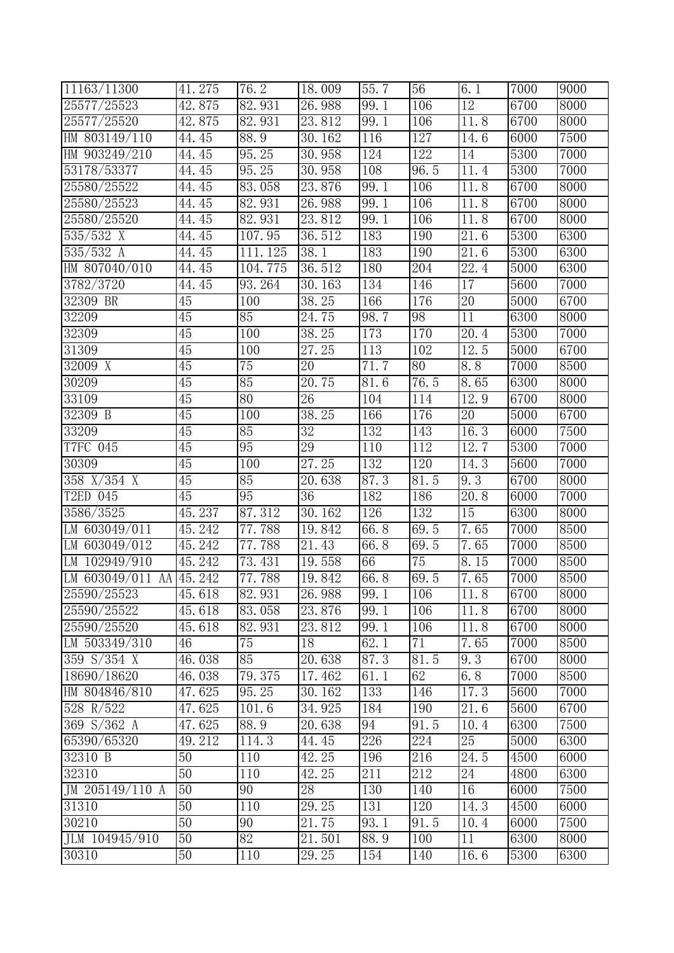| 11163/11300             | 41.275          | 76.2            | 18.009              | 55.7 | 56   | 6.1               | 7000              | 9000 |
|-------------------------|-----------------|-----------------|---------------------|------|------|-------------------|-------------------|------|
| 25577/25523             | 42.875          | 82.931          | 26.988              | 99.1 | 106  | $\overline{12}$   | 6700              | 8000 |
| 25577/25520             | 42.875          | 82.931          | 23.812              | 99.1 | 106  | 11.8              | 6700              | 8000 |
| HM 803149/110           | 44.45           | 88.9            | 30.162              | 116  | 127  | $14.\overline{6}$ | 6000              | 7500 |
| HM 903249/210           | 44.45           | 95.25           | 30.958              | 124  | 122  | 14                | 5300              | 7000 |
| 53178/53377             | 44.45           | 95.25           | 30.958              | 108  | 96.5 | 11.4              | 5300              | 7000 |
| 25580/25522             | 44.45           | 83.058          | 23.876              | 99.1 | 106  | 11.8              | 6700              | 8000 |
| 25580/25523             | 44.45           | 82.931          | 26.988              | 99.1 | 106  | 11.8              | 6700              | 8000 |
| 25580/25520             | 44.45           | 82.931          | 23.812              | 99.1 | 106  | $11.\overline{8}$ | 6700              | 8000 |
| 535/532 X               | 44.45           | 107.95          | 36.512              | 183  | 190  | $\overline{21.6}$ | 5300              | 6300 |
| 535/532 A               | 44.45           | 111.125         | $\overline{3}8.1$   | 183  | 190  | $\overline{2}1.6$ | 5300              | 6300 |
| HM 807040/010           | 44.45           | 104.775         | 36.512              | 180  | 204  | 22.4              | 5000              | 6300 |
| 3782/3720               | 44.45           | 93.264          | 30.163              | 134  | 146  | 17                | 5600              | 7000 |
| 32309 BR                | 45              | 100             | 38.25               | 166  | 176  | $\overline{20}$   | 5000              | 6700 |
| 32209                   | 45              | 85              | 24.75               | 98.7 | 98   | 11                | 6300              | 8000 |
| 32309                   | $\overline{45}$ | 100             | 38.25               | 173  | 170  | 20.4              | 5300              | 7000 |
| 31309                   | $\overline{45}$ | 100             | 27.25               | 113  | 102  | 12.5              | 5000              | 6700 |
| 32009 X                 | 45              | 75              | 20                  | 71.7 | 80   | 8.8               | 7000              | 8500 |
| 30209                   | 45              | 85              | 20.75               | 81.6 | 76.5 | 8.65              | 6300              | 8000 |
| 33109                   | 45              | $\overline{80}$ | $\overline{26}$     | 104  | 114  | 12.9              | $\overline{670}0$ | 8000 |
| 32309 B                 | $\overline{45}$ | 100             | 38.25               | 166  | 176  | 20                | 5000              | 6700 |
| 33209                   | $\overline{45}$ | 85              | $\overline{32}$     | 132  | 143  | 16.3              | 6000              | 7500 |
| T7FC 045                | 45              | 95              | 29                  | 110  | 112  | 12.7              | 5300              | 7000 |
| 30309                   | 45              | 100             | 27.25               | 132  | 120  | 14.3              | 5600              | 7000 |
| 358 X/354 X             | $\overline{45}$ | 85              | 20.638              | 87.3 | 81.5 | 9.3               | 6700              | 8000 |
| T2ED 045                | 45              | 95              | 36                  | 182  | 186  | 20.8              | 6000              | 7000 |
| 3586/3525               | 45.237          | 87.312          | 30.162              | 126  | 132  | $\overline{15}$   | 6300              | 8000 |
| LM 603049/011           | 45.242          | 77.788          | 19.842              | 66.8 | 69.5 | 7.65              | 7000              | 8500 |
| LM 603049/012           | 45.242          | 77.788          | 21.43               | 66.8 | 69.5 | 7.65              | 7000              | 8500 |
| LM 102949/910           | 45.242          | 73.431          | 19.558              | 66   | 75   | 8.15              | 7000              | 8500 |
| LM 603049/011 AA 45.242 |                 | 77.788          | 19.842              | 66.8 | 69.5 | 7.65              | 7000              | 8500 |
| 25590/25523             | 45.618          | 82.931          | 26.988              | 99.1 | 106  | 11.8              | 6700              | 8000 |
| 25590/25522             | 45.618          | 83.058          | 23.876              | 99.1 | 106  | 11.8              | 6700              | 8000 |
| 25590/25520             | 45.618          | 82.931          | 23.812              | 99.1 | 106  | 11.8              | 6700              | 8000 |
| LM $503349/310$         | 46              | $\overline{75}$ | 18                  | 62.1 | 71   | 7.65              | 7000              | 8500 |
| 359 $S/354$ X           | 46.038          | 85              | $20.\overline{638}$ | 87.3 | 81.5 | 9.3               | 6700              | 8000 |
| 18690/18620             | 46.038          | 79.375          | 17.462              | 61.1 | 62   | 6.8               | 7000              | 8500 |
| HM 804846/810           | 47.625          | 95.25           | 30.162              | 133  | 146  | 17.3              | 5600              | 7000 |
| 528 R/522               | 47.625          | 101.6           | 34.925              | 184  | 190  | 21.6              | 5600              | 6700 |
| 369 $S/362$ A           | 47.625          | 88.9            | 20.638              | 94   | 91.5 | 10.4              | 6300              | 7500 |
| 65390/65320             | 49.212          | 114.3           | 44.45               | 226  | 224  | $\overline{25}$   | 5000              | 6300 |
| 32310 B                 | $\overline{50}$ | 110             | 42.25               | 196  | 216  | 24.5              | 4500              | 6000 |
| 32310                   | 50              | 110             | 42.25               | 211  | 212  | 24                | 4800              | 6300 |
| JM 205149/110 A         | 50              | 90              | 28                  | 130  | 140  | 16                | 6000              | 7500 |
| 31310                   | 50              | 110             | 29.25               | 131  | 120  | 14.3              | 4500              | 6000 |
| 30210                   | 50              | 90              | 21.75               | 93.1 | 91.5 | 10.4              | 6000              | 7500 |
| JLM 104945/910          | 50              | 82              | 21.501              | 88.9 | 100  | $\overline{11}$   | 6300              | 8000 |
| 30310                   | 50              | 110             | 29.25               | 154  | 140  | 16.6              | 5300              | 6300 |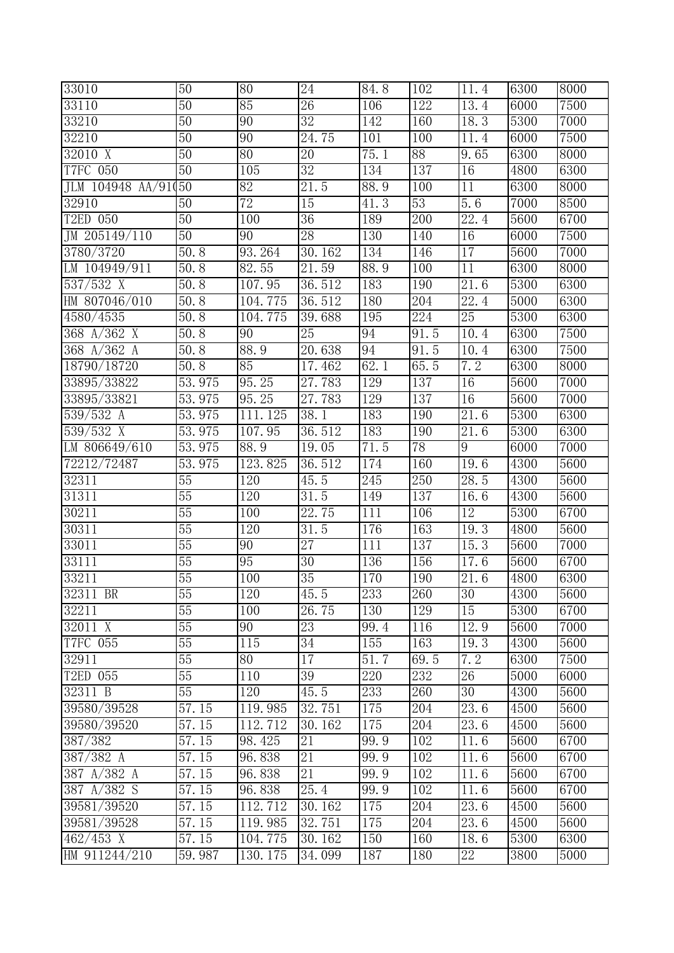| 33010                | $\overline{50}$ | 80               | $\overline{24}$    | $\overline{8}4.8$ | 102             | 11.4                | 6300 | 8000 |
|----------------------|-----------------|------------------|--------------------|-------------------|-----------------|---------------------|------|------|
| 33110                | 50              | 85               | $\overline{26}$    | 106               | 122             | 13.4                | 6000 | 7500 |
| 33210                | 50              | 90               | 32                 | 142               | 160             | 18.3                | 5300 | 7000 |
| 32210                | $\overline{50}$ | $\overline{90}$  | 24.75              | 101               | 100             | 11.4                | 6000 | 7500 |
| $32010 \overline{X}$ | $\overline{50}$ | $\overline{80}$  | $\overline{20}$    | 75.1              | $\overline{88}$ | 9.65                | 6300 | 8000 |
| <b>T7FC 050</b>      | 50              | 105              | $\overline{32}$    | 134               | 137             | 16                  | 4800 | 6300 |
| JLM 104948 AA/91     | $\overline{60}$ | 82               | 21.5               | 88.9              | 100             | 11                  | 6300 | 8000 |
| 32910                | 50              | 72               | 15                 | 41.3              | 53              | 5.6                 | 7000 | 8500 |
| T2ED 050             | $\overline{50}$ | 100              | $\overline{36}$    | 189               | 200             | 22.4                | 5600 | 6700 |
| JM 205149/110        | 50              | $\overline{90}$  | 28                 | 130               | 140             | 16                  | 6000 | 7500 |
| 3780/3720            | 50.8            | 93.264           | 30.162             | 134               | 146             | $\overline{17}$     | 5600 | 7000 |
| LM 104949/911        | 50.8            | 82.55            | 21.59              | 88.9              | 100             | 11                  | 6300 | 8000 |
| $537/532$ X          | 50.8            | 107.95           | 36.512             | 183               | 190             | $\overline{21}$ . 6 | 5300 | 6300 |
| HM 807046/010        | 50.8            | 104.775          | 36.512             | 180               | 204             | 22.4                | 5000 | 6300 |
| 4580/4535            | 50.8            | 104.775          | 39.688             | 195               | 224             | 25                  | 5300 | 6300 |
| 368 $A/362$ X        | 50.8            | 90               | $\overline{25}$    | 94                | 91.5            | 10.4                | 6300 | 7500 |
| 368 A/362 A          | 50.8            | 88.9             | 20.638             | 94                | 91.5            | 10.4                | 6300 | 7500 |
| 18790/18720          | 50.8            | 85               | 17.462             | 62.1              | 65.5            | 7.2                 | 6300 | 8000 |
| 33895/33822          | 53.975          | 95.25            | 27.783             | 129               | 137             | 16                  | 5600 | 7000 |
| 33895/33821          | 53.975          | 95.25            | 27.783             | 129               | 137             | 16                  | 5600 | 7000 |
| 539/532 A            | 53.975          | 111.125          | 38.1               | 183               | 190             | 21.6                | 5300 | 6300 |
| 539/532 X            | 53.975          | 107.95           | 36.512             | 183               | 190             | 21.6                | 5300 | 6300 |
| LM 806649/610        | 53.975          | 88.9             | 19.05              | 71.5              | 78              | 9                   | 6000 | 7000 |
| 72212/72487          | 53.975          | 123.825          | 36.512             | 174               | 160             | 19.6                | 4300 | 5600 |
| 32311                | 55              | 120              | 45.5               | $\overline{245}$  | 250             | 28.5                | 4300 | 5600 |
| 31311                | $\overline{55}$ | $\overline{120}$ | 31.5               | 149               | 137             | 16.6                | 4300 | 5600 |
| 30211                | 55              | 100              | 22.75              | 111               | 106             | $\overline{12}$     | 5300 | 6700 |
| 30311                | $\overline{55}$ | 120              | $\overline{3}1.5$  | 176               | 163             | 19.3                | 4800 | 5600 |
| 33011                | 55              | 90               | $\overline{27}$    | 111               | 137             | 15.3                | 5600 | 7000 |
| 33111                | 55              | 95               | 30                 | 136               | 156             | 17.6                | 5600 | 6700 |
| 33211                | $\overline{55}$ | 100              | $\overline{35}$    | 170               | 190             | $21.\overline{6}$   | 4800 | 6300 |
| 32311 BR             | 55              | 120              | 45.5               | 233               | 260             | 30                  | 4300 | 5600 |
| 32211                | $\overline{55}$ | 100              | $\overline{2}6.75$ | 130               | 129             | 15                  | 5300 | 6700 |
| 32011 X              | 55              | 90               | 23                 | 99.4              | 116             | 12.9                | 5600 | 7000 |
| T7FC 055             | 55              | 115              | 34                 | 155               | 163             | 19.3                | 4300 | 5600 |
| 32911                | 55              | 80               | 17                 | 51.7              | 69.5            | 7.2                 | 6300 | 7500 |
| T2ED 055             | 55              | 110              | $\overline{39}$    | 220               | 232             | $\overline{26}$     | 5000 | 6000 |
| 32311 B              | 55              | 120              | 45.5               | 233               | 260             | $\overline{30}$     | 4300 | 5600 |
| 39580/39528          | 57.15           | 119.985          | 32.751             | 175               | 204             | 23.6                | 4500 | 5600 |
| 39580/39520          | 57.15           | 112.712          | 30.162             | 175               | 204             | 23.6                | 4500 | 5600 |
| 387/382              | 57.15           | 98.425           | 21                 | 99.9              | 102             | 11.6                | 5600 | 6700 |
| 387/382 A            | 57.15           | 96.838           | 21                 | 99.9              | 102             | 11.6                | 5600 | 6700 |
| 387 A/382 A          | 57.15           | 96.838           | 21                 | 99.9              | 102             | 11.6                | 5600 | 6700 |
| 387 A/382 S          | 57.15           | 96.838           | 25.4               | 99.9              | 102             | 11.6                | 5600 | 6700 |
| 39581/39520          | 57.15           | 112.712          | 30.162             | 175               | 204             | 23.6                | 4500 | 5600 |
| 39581/39528          | 57.15           | 119.985          | 32.751             | 175               | 204             | 23.6                | 4500 | 5600 |
| $462/453$ X          | 57.15           | 104.775          | 30.162             | 150               | 160             | 18.6                | 5300 | 6300 |
| HM 911244/210        | 59.987          | 130.175          | 34.099             | 187               | 180             | 22                  | 3800 | 5000 |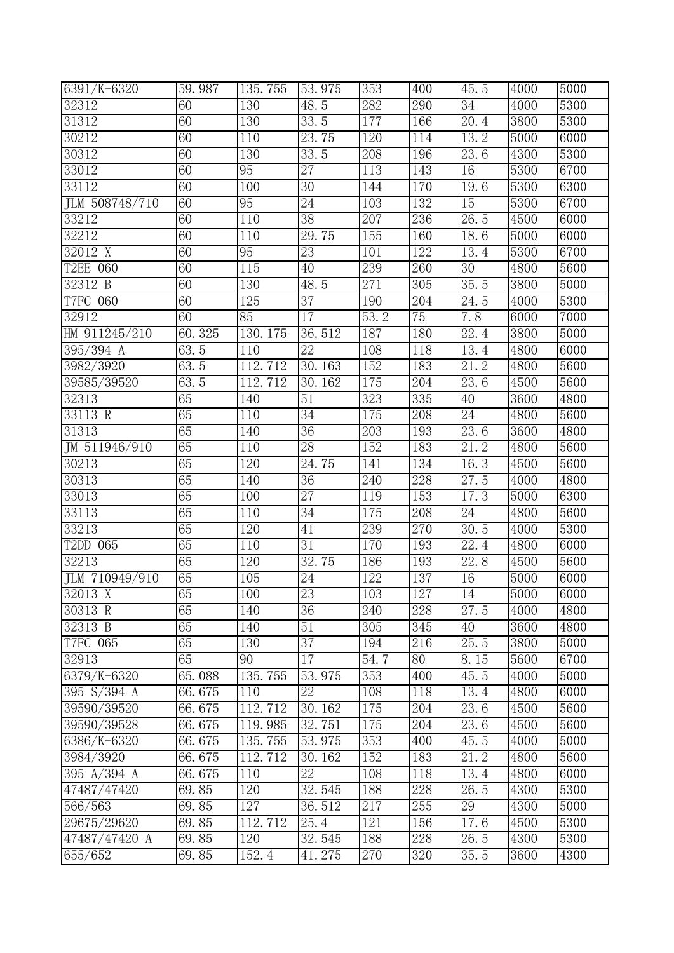| 6391/K-6320      | 59.987 | 135.755          | 53.975              | 353  | 400 | 45.5                | 4000              | 5000 |
|------------------|--------|------------------|---------------------|------|-----|---------------------|-------------------|------|
| 32312            | 60     | 130              | $\overline{48}$ . 5 | 282  | 290 | 34                  | 4000              | 5300 |
| 31312            | 60     | 130              | 33.5                | 177  | 166 | $\overline{20}$ , 4 | 3800              | 5300 |
| 30212            | 60     | $\overline{1}10$ | 23.75               | 120  | 114 | 13.2                | 5000              | 6000 |
| 30312            | 60     | 130              | 33.5                | 208  | 196 | 23.6                | 4300              | 5300 |
| 33012            | 60     | 95               | $\overline{27}$     | 113  | 143 | 16                  | 5300              | 6700 |
| 33112            | 60     | 100              | $\overline{30}$     | 144  | 170 | 19.6                | 5300              | 6300 |
| JLM 508748/710   | 60     | 95               | 24                  | 103  | 132 | $\overline{15}$     | 5300              | 6700 |
| 33212            | 60     | 110              | 38                  | 207  | 236 | 26.5                | 4500              | 6000 |
| 32212            | 60     | 110              | 29.75               | 155  | 160 | 18.6                | $\overline{500}0$ | 6000 |
| 32012 X          | 60     | 95               | 23                  | 101  | 122 | 13.4                | 5300              | 6700 |
| T2EE 060         | 60     | 115              | 40                  | 239  | 260 | $\overline{3}0$     | 4800              | 5600 |
| 32312 B          | 60     | 130              | 48.5                | 271  | 305 | 35.5                | 3800              | 5000 |
| T7FC 060         | 60     | 125              | $\overline{37}$     | 190  | 204 | $\overline{2}4.5$   | 4000              | 5300 |
| 32912            | 60     | 85               | 17                  | 53.2 | 75  | 7.8                 | 6000              | 7000 |
| HM $911245/210$  | 60.325 | 130.175          | 36.512              | 187  | 180 | 22.4                | 3800              | 5000 |
| $395/394$ A      | 63.5   | 110              | 22                  | 108  | 118 | 13.4                | 4800              | 6000 |
| 3982/3920        | 63.5   | 112.712          | 30.163              | 152  | 183 | 21.2                | 4800              | 5600 |
| 39585/39520      | 63.5   | 112.712          | 30.162              | 175  | 204 | 23.6                | 4500              | 5600 |
| 32313            | 65     | 140              | 51                  | 323  | 335 | $\overline{40}$     | $\overline{36}00$ | 4800 |
| 33113 R          | 65     | 110              | $\overline{34}$     | 175  | 208 | $\overline{24}$     | 4800              | 5600 |
| 31313            | 65     | 140              | $\overline{36}$     | 203  | 193 | 23.6                | $\overline{3}600$ | 4800 |
| JM 511946/910    | 65     | 110              | 28                  | 152  | 183 | $\overline{21.2}$   | 4800              | 5600 |
| 30213            | 65     | 120              | 24.75               | 141  | 134 | 16.3                | 4500              | 5600 |
| 30313            | 65     | 140              | 36                  | 240  | 228 | 27.5                | 4000              | 4800 |
| 33013            | 65     | 100              | $\overline{27}$     | 119  | 153 | 17.3                | 5000              | 6300 |
| 33113            | 65     | 110              | $\overline{34}$     | 175  | 208 | $\overline{24}$     | 4800              | 5600 |
| 33213            | 65     | 120              | 41                  | 239  | 270 | 30.5                | 4000              | 5300 |
| T2DD 065         | 65     | 110              | 31                  | 170  | 193 | 22.4                | 4800              | 6000 |
| 32213            | 65     | 120              | 32.75               | 186  | 193 | 22.8                | 4500              | 5600 |
| JLM $710949/910$ | 65     | 105              | 24                  | 122  | 137 | 16                  | 5000              | 6000 |
| 32013 X          | 65     | 100              | 23                  | 103  | 127 | $\overline{14}$     | 5000              | 6000 |
| 30313 R          | 65     | 140              | 36                  | 240  | 228 | $\overline{27.5}$   | 4000              | 4800 |
| 32313 B          | 65     | 140              | 51                  | 305  | 345 | 40                  | 3600              | 4800 |
| T7FC 065         | 65     | 130              | $\overline{37}$     | 194  | 216 | 25.5                | 3800              | 5000 |
| 32913            | 65     | 90               | 17                  | 54.7 | 80  | 8.15                | 5600              | 6700 |
| 6379/K-6320      | 65.088 | 135.755          | 53.975              | 353  | 400 | 45.5                | 4000              | 5000 |
| 395 $S/394$ A    | 66.675 | 110              | 22                  | 108  | 118 | 13.4                | 4800              | 6000 |
| 39590/39520      | 66.675 | 112.712          | 30.162              | 175  | 204 | 23.6                | 4500              | 5600 |
| 39590/39528      | 66.675 | 119.985          | 32.751              | 175  | 204 | 23.6                | 4500              | 5600 |
| 6386/K-6320      | 66.675 | 135.755          | 53.975              | 353  | 400 | 45.5                | 4000              | 5000 |
| 3984/3920        | 66.675 | 112.712          | 30.162              | 152  | 183 | $2\overline{1.2}$   | 4800              | 5600 |
| 395 $A/394 A$    | 66.675 | 110              | $\overline{22}$     | 108  | 118 | 13.4                | 4800              | 6000 |
| 47487/47420      | 69.85  | 120              | 32.545              | 188  | 228 | 26.5                | 4300              | 5300 |
| 566/563          | 69.85  | 127              | 36.512              | 217  | 255 | 29                  | 4300              | 5000 |
| 29675/29620      | 69.85  | 112.712          | 25.4                | 121  | 156 | 17.6                | 4500              | 5300 |
| 47487/47420 A    | 69.85  | 120              | 32.545              | 188  | 228 | 26.5                | 4300              | 5300 |
| 655/652          | 69.85  | 152.4            | 41.275              | 270  | 320 | 35.5                | 3600              | 4300 |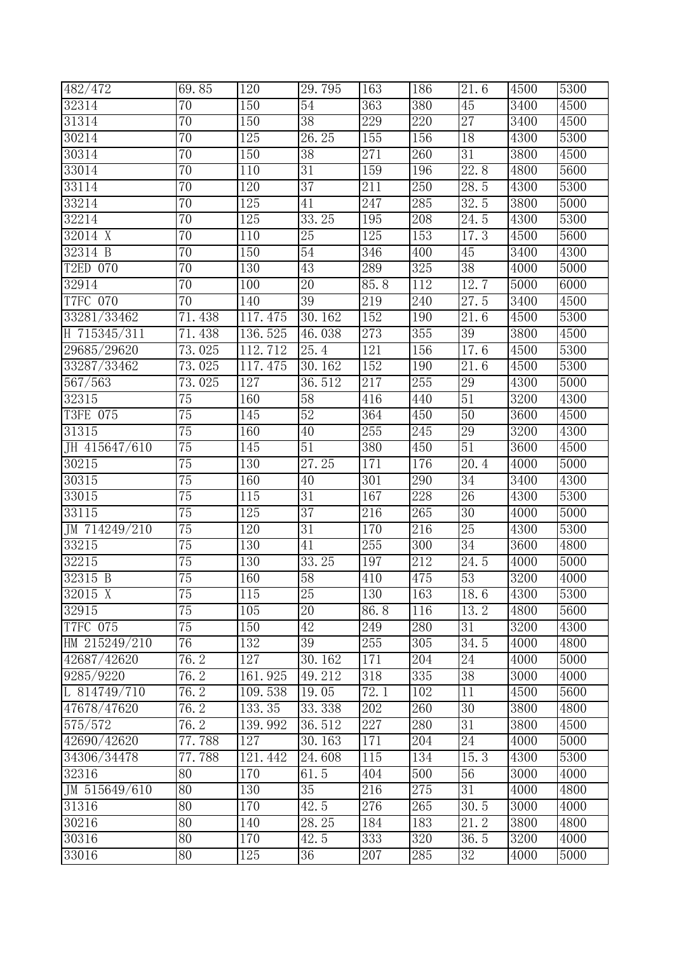| 482/472         | 69.85           | 120     | 29.795          | 163  | 186              | 21.6              | 4500              | 5300 |
|-----------------|-----------------|---------|-----------------|------|------------------|-------------------|-------------------|------|
| 32314           | $\overline{70}$ | 150     | 54              | 363  | 380              | 45                | 3400              | 4500 |
| 31314           | $\overline{70}$ | 150     | $\overline{38}$ | 229  | 220              | $\overline{27}$   | 3400              | 4500 |
| 30214           | 70              | 125     | 26.25           | 155  | 156              | 18                | 4300              | 5300 |
| 30314           | 70              | 150     | $\overline{38}$ | 271  | 260              | $\overline{31}$   | 3800              | 4500 |
| 33014           | 70              | 110     | 31              | 159  | 196              | 22.8              | 4800              | 5600 |
| 33114           | $\overline{70}$ | 120     | $\overline{37}$ | 211  | $\overline{250}$ | 28.5              | 4300              | 5300 |
| 33214           | 70              | 125     | 41              | 247  | 285              | 32.5              | 3800              | 5000 |
| 32214           | $\overline{70}$ | 125     | 33.25           | 195  | 208              | 24.5              | 4300              | 5300 |
| 32014 X         | $\overline{70}$ | 110     | 25              | 125  | 153              | 17.3              | 4500              | 5600 |
| 32314 B         | $\overline{70}$ | 150     | 54              | 346  | 400              | 45                | 3400              | 4300 |
| T2ED 070        | 70              | 130     | 43              | 289  | 325              | 38                | 4000              | 5000 |
| 32914           | 70              | 100     | $\overline{20}$ | 85.8 | 112              | 12.7              | 5000              | 6000 |
| <b>T7FC 070</b> | 70              | 140     | $\overline{39}$ | 219  | 240              | 27.5              | 3400              | 4500 |
| 33281/33462     | 71.438          | 117.475 | 30.162          | 152  | 190              | 21.6              | 4500              | 5300 |
| H 715345/311    | 71.438          | 136.525 | 46.038          | 273  | 355              | $\overline{39}$   | 3800              | 4500 |
| 29685/29620     | 73.025          | 112.712 | 25.4            | 121  | 156              | 17.6              | 4500              | 5300 |
| 33287/33462     | 73.025          | 117.475 | 30.162          | 152  | 190              | 21.6              | 4500              | 5300 |
| 567/563         | 73.025          | 127     | 36.512          | 217  | 255              | 29                | 4300              | 5000 |
| 32315           | 75              | 160     | 58              | 416  | 440              | 51                | 3200              | 4300 |
| T3FE 075        | $\overline{75}$ | 145     | $52\,$          | 364  | 450              | 50                | 3600              | 4500 |
| 31315           | 75              | 160     | 40              | 255  | 245              | 29                | 3200              | 4300 |
| JH 415647/610   | $\overline{75}$ | 145     | 51              | 380  | 450              | 51                | $\overline{3}600$ | 4500 |
| 30215           | 75              | 130     | 27.25           | 171  | 176              | $\overline{2}0.4$ | 4000              | 5000 |
| 30315           | $\overline{75}$ | 160     | 40              | 301  | 290              | 34                | 3400              | 4300 |
| 33015           | 75              | 115     | 31              | 167  | 228              | 26                | 4300              | 5300 |
| 33115           | 75              | 125     | $\overline{37}$ | 216  | 265              | $\overline{30}$   | 4000              | 5000 |
| JM 714249/210   | 75              | 120     | $\overline{31}$ | 170  | 216              | $\overline{25}$   | 4300              | 5300 |
| 33215           | 75              | 130     | 41              | 255  | 300              | 34                | 3600              | 4800 |
| 32215           | 75              | 130     | 33.25           | 197  | 212              | 24.5              | 4000              | 5000 |
| 32315 B         | $\overline{75}$ | 160     | 58              | 410  | 475              | 53                | 3200              | 4000 |
| $32015$ X       | 75              | 115     | 25              | 130  | 163              | 18.6              | 4300              | 5300 |
| 32915           | $\overline{75}$ | 105     | $\overline{20}$ | 86.8 | 116              | 13.2              | 4800              | 5600 |
| T7FC 075        | $\overline{75}$ | 150     | 42              | 249  | 280              | 31                | 3200              | 4300 |
| HM 215249/210   | 76              | 132     | 39              | 255  | 305              | 34.5              | 4000              | 4800 |
| 42687/42620     | 76.2            | 127     | 30.162          | 171  | 204              | $\overline{24}$   | 4000              | 5000 |
| 9285/9220       | 76.2            | 161.925 | 49.212          | 318  | 335              | $\overline{38}$   | 3000              | 4000 |
| L 814749/710    | 76.2            | 109.538 | 19.05           | 72.1 | 102              | 11                | 4500              | 5600 |
| 47678/47620     | 76.2            | 133.35  | 33.338          | 202  | 260              | 30                | 3800              | 4800 |
| 575/572         | 76.2            | 139.992 | 36.512          | 227  | 280              | 31                | 3800              | 4500 |
| 42690/42620     | 77.788          | 127     | 30.163          | 171  | 204              | 24                | 4000              | 5000 |
| 34306/34478     | 77.788          | 121.442 | 24.608          | 115  | 134              | 15.3              | 4300              | 5300 |
| 32316           | 80              | 170     | 61.5            | 404  | 500              | 56                | 3000              | 4000 |
| JM $515649/610$ | $\overline{80}$ | 130     | $\overline{35}$ | 216  | 275              | $\overline{31}$   | 4000              | 4800 |
| 31316           | 80              | 170     | 42.5            | 276  | 265              | 30.5              | 3000              | 4000 |
| 30216           | 80              | 140     | 28.25           | 184  | 183              | 21.2              | 3800              | 4800 |
| 30316           | $\overline{80}$ | 170     | 42.5            | 333  | 320              | 36.5              | 3200              | 4000 |
| 33016           | 80              | 125     | 36              | 207  | 285              | 32                | 4000              | 5000 |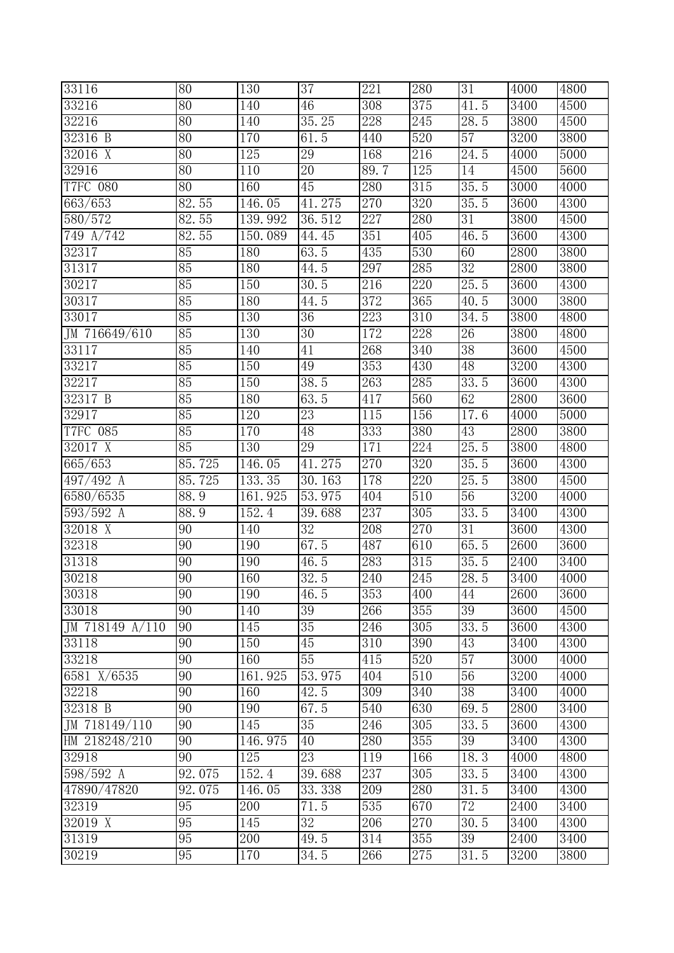| 33116                        | 80              | 130              | $\overline{37}$   | $\overline{221}$ | 280 | $\overline{31}$   | 4000              | 4800 |
|------------------------------|-----------------|------------------|-------------------|------------------|-----|-------------------|-------------------|------|
| 33216                        | $\overline{80}$ | 140              | 46                | 308              | 375 | 41.5              | 3400              | 4500 |
| 32216                        | 80              | 140              | 35.25             | 228              | 245 | 28.5              | 3800              | 4500 |
| 32316 B                      | 80              | 170              | 61.5              | 440              | 520 | 57                | 3200              | 3800 |
| 32016 X                      | 80              | 125              | 29                | 168              | 216 | $\overline{2}4.5$ | 4000              | 5000 |
| 32916                        | $\overline{80}$ | 110              | $\overline{20}$   | 89.7             | 125 | 14                | 4500              | 5600 |
| <b>T7FC 080</b>              | $\overline{80}$ | 160              | 45                | 280              | 315 | $\overline{35.5}$ | 3000              | 4000 |
| 663/653                      | 82.55           | 146.05           | 41.275            | 270              | 320 | 35.5              | 3600              | 4300 |
| 580/572                      | 82.55           | 139.992          | 36.512            | 227              | 280 | 31                | 3800              | 4500 |
| 749 A/742                    | 82.55           | 150.089          | 44.45             | 351              | 405 | 46.5              | 3600              | 4300 |
| 32317                        | 85              | 180              | 63.5              | 435              | 530 | 60                | 2800              | 3800 |
| 31317                        | 85              | 180              | 44.5              | 297              | 285 | $\overline{32}$   | 2800              | 3800 |
| 30217                        | 85              | 150              | 30.5              | 216              | 220 | 25.5              | 3600              | 4300 |
| 30317                        | 85              | 180              | $44.\overline{5}$ | 372              | 365 | $40.\overline{5}$ | 3000              | 3800 |
| 33017                        | 85              | 130              | 36                | 223              | 310 | $\overline{34.5}$ | 3800              | 4800 |
| JM 716649/610                | 85              | 130              | $\overline{30}$   | 172              | 228 | 26                | 3800              | 4800 |
| 33117                        | 85              | 140              | 41                | 268              | 340 | $\overline{38}$   | 3600              | 4500 |
| 33217                        | 85              | 150              | 49                | 353              | 430 | 48                | $\overline{32}00$ | 4300 |
| 32217                        | 85              | 150              | 38.5              | 263              | 285 | 33.5              | 3600              | 4300 |
| 32317 B                      | 85              | 180              | 63.5              | 417              | 560 | 62                | 2800              | 3600 |
| 32917                        | 85              | 120              | 23                | 115              | 156 | 17.6              | 4000              | 5000 |
| T7FC 085                     | 85              | 170              | 48                | 333              | 380 | 43                | 2800              | 3800 |
| 32017 X                      | 85              | 130              | 29                | 171              | 224 | 25.5              | 3800              | 4800 |
| 665/653                      | 85.725          | 146.05           | 41.275            | 270              | 320 | 35.5              | 3600              | 4300 |
| 497/492 A                    | 85.725          | 133.35           | 30.163            | 178              | 220 | $\overline{25.5}$ | 3800              | 4500 |
| 6580/6535                    | 88.9            | 161.925          | 53.975            | 404              | 510 | 56                | 3200              | 4000 |
| 593/592 A                    | 88.9            | 152.4            | 39.688            | 237              | 305 | 33.5              | 3400              | 4300 |
| 32018 X                      | 90              | 140              | $\overline{32}$   | 208              | 270 | 31                | 3600              | 4300 |
| 32318                        | 90              | 190              | 67.5              | 487              | 610 | 65.5              | 2600              | 3600 |
| 31318                        | $\overline{90}$ | 190              | 46.5              | 283              | 315 | 35.5              | 2400              | 3400 |
| 30218                        | 90              | 160              | 32.5              | 240              | 245 | 28.5              | 3400              | 4000 |
| 30318                        | 90              | 190              | 46.5              | 353              | 400 | 44                | 2600              | 3600 |
| 33018                        | $\overline{90}$ | 140              | $\overline{39}$   | 266              | 355 | $\overline{39}$   | 3600              | 4500 |
| JM 718149 $A\overline{7110}$ | 90              | 145              | 35                | 246              | 305 | 33.5              | 3600              | 4300 |
| 33118                        | 90              | 150              | 45                | 310              | 390 | 43                | 3400              | 4300 |
| 33218                        | 90              | 160              | $\overline{55}$   | 415              | 520 | $\overline{57}$   | 3000              | 4000 |
| 6581 X/6535                  | $\overline{90}$ | 161.925          | 53.975            | 404              | 510 | 56                | 3200              | 4000 |
| 32218                        | 90              | 160              | 42.5              | 309              | 340 | $\overline{38}$   | 3400              | 4000 |
| 32318 B                      | 90              | 190              | 67.5              | 540              | 630 | 69.5              | 2800              | 3400 |
| JM 718149/110                | 90              | 145              | $35\,$            | 246              | 305 | 33.5              | 3600              | 4300 |
| HM 218248/210                | 90              | 146.975          | 40                | 280              | 355 | 39                | 3400              | 4300 |
| 32918                        | $\overline{90}$ | $\overline{125}$ | 23                | 119              | 166 | 18.3              | 4000              | 4800 |
| 598/592 A                    | 92.075          | 152.4            | 39.688            | 237              | 305 | 33.5              | 3400              | 4300 |
| 47890/47820                  | 92.075          | 146.05           | 33.338            | 209              | 280 | 31.5              | 3400              | 4300 |
| 32319                        | 95              | 200              | 71.5              | 535              | 670 | $\overline{72}$   | 2400              | 3400 |
| 32019 X                      | $\overline{95}$ | 145              | 32                | 206              | 270 | 30.5              | 3400              | 4300 |
| 31319                        | 95              | 200              | 49.5              | 314              | 355 | $\overline{39}$   | 2400              | 3400 |
| 30219                        | 95              | 170              | 34.5              | 266              | 275 | 31.5              | 3200              | 3800 |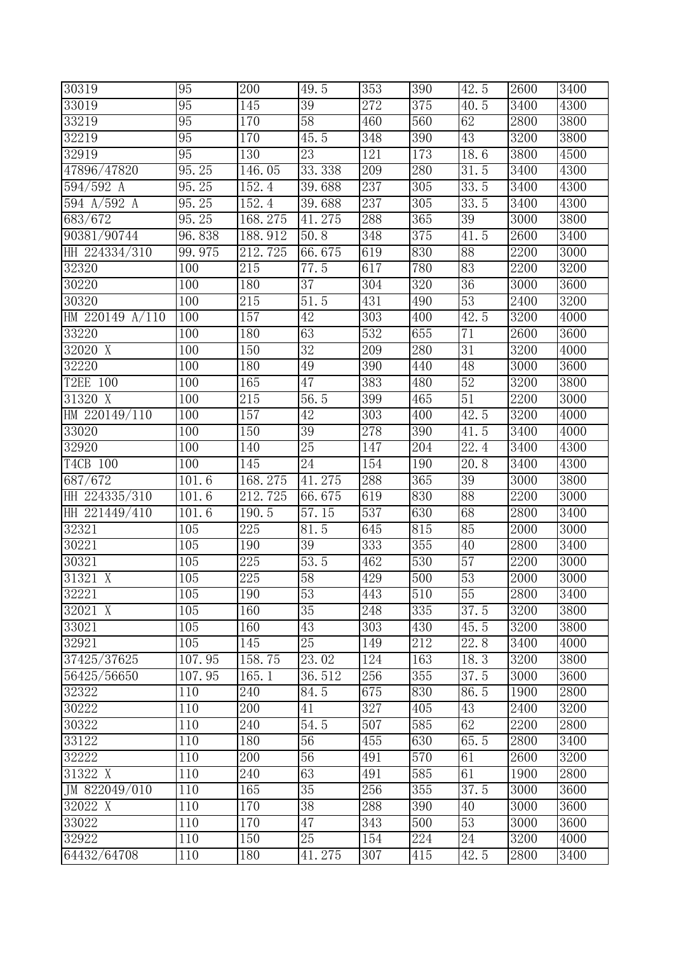| 30319                  | 95     | 200              | 49.5              | 353              | 390 | 42.5              | <b>2600</b>       | 3400 |
|------------------------|--------|------------------|-------------------|------------------|-----|-------------------|-------------------|------|
| 33019                  | 95     | 145              | $\overline{39}$   | 272              | 375 | 40.5              | 3400              | 4300 |
| 33219                  | 95     | 170              | $\overline{58}$   | 460              | 560 | 62                | 2800              | 3800 |
| 32219                  | 95     | 170              | 45.5              | 348              | 390 | 43                | 3200              | 3800 |
| 32919                  | 95     | 130              | 23                | 121              | 173 | 18.6              | 3800              | 4500 |
| 47896/47820            | 95.25  | 146.05           | 33.338            | 209              | 280 | 31.5              | 3400              | 4300 |
| 594/592 A              | 95.25  | 152.4            | 39.688            | 237              | 305 | 33.5              | 3400              | 4300 |
| 594 $A/592$ A          | 95.25  | 152.4            | 39.688            | 237              | 305 | 33.5              | 3400              | 4300 |
| 683/672                | 95.25  | 168.275          | 41.275            | 288              | 365 | 39                | 3000              | 3800 |
| 90381/90744            | 96.838 | 188.912          | 50.8              | 348              | 375 | 41.5              | 2600              | 3400 |
| HH 224334/310          | 99.975 | 212.725          | 66.675            | 619              | 830 | 88                | 2200              | 3000 |
| 32320                  | 100    | 215              | 77.5              | 617              | 780 | 83                | 2200              | 3200 |
| 30220                  | 100    | 180              | 37                | 304              | 320 | $\overline{36}$   | 3000              | 3600 |
| 30320                  | 100    | 215              | $51.\overline{5}$ | 431              | 490 | 53                | 2400              | 3200 |
| HM 220149 A/110        | 100    | 157              | 42                | $\overline{303}$ | 400 | 42.5              | 3200              | 4000 |
| 33220                  | 100    | 180              | 63                | 532              | 655 | 71                | 2600              | 3600 |
| 32020 X                | 100    | 150              | $\overline{32}$   | 209              | 280 | 31                | 3200              | 4000 |
| 32220                  | 100    | 180              | 49                | 390              | 440 | 48                | 3000              | 3600 |
| T2EE 100               | 100    | 165              | 47                | 383              | 480 | 52                | 3200              | 3800 |
| 31320 X                | 100    | 215              | 56.5              | 399              | 465 | 51                | 2200              | 3000 |
| HM 220149/110          | 100    | 157              | 42                | 303              | 400 | 42.5              | 3200              | 4000 |
| 33020                  | 100    | 150              | $\overline{39}$   | 278              | 390 | 41.5              | 3400              | 4000 |
| 32920                  | 100    | 140              | $\overline{25}$   | 147              | 204 | 22.4              | 3400              | 4300 |
| T4CB 100               | 100    | 145              | 24                | 154              | 190 | $\overline{2}0.8$ | 3400              | 4300 |
| 687/672                | 101.6  | 168.275          | 41.275            | 288              | 365 | 39                | 3000              | 3800 |
| HH 224335/310          | 101.6  | 212.725          | 66.675            | 619              | 830 | 88                | 2200              | 3000 |
| HH 221449/410          | 101.6  | 190.5            | 57.15             | 537              | 630 | 68                | 2800              | 3400 |
| 32321                  | 105    | $\overline{225}$ | $\overline{8}1.5$ | 645              | 815 | 85                | 2000              | 3000 |
| 30221                  | 105    | 190              | 39                | 333              | 355 | 40                | 2800              | 3400 |
| 30321                  | 105    | 225              | 53.5              | 462              | 530 | 57                | 2200              | 3000 |
| 31321 X                | 105    | 225              | $\overline{58}$   | 429              | 500 | 53                | 2000              | 3000 |
| 32221                  | 105    | 190              | 53                | 443              | 510 | 55                | 2800              | 3400 |
| 32021 X                | 105    | 160              | $\overline{35}$   | 248              | 335 | $\overline{3}7.5$ | 3200              | 3800 |
| 33021                  | 105    | 160              | 43                | 303              | 430 | 45.5              | 3200              | 3800 |
| 32921                  | 105    | 145              | 25                | 149              | 212 | 22.8              | 3400              | 4000 |
| 37425/37625            | 107.95 | 158.75           | 23.02             | 124              | 163 | 18.3              | 3200              | 3800 |
| 56425/56650            | 107.95 | 165.1            | 36.512            | 256              | 355 | 37.5              | 3000              | 3600 |
| 32322                  | 110    | 240              | 84.5              | 675              | 830 | 86.5              | 1900              | 2800 |
| 30222                  | 110    | 200              | 41                | 327              | 405 | 43                | 2400              | 3200 |
| 30322                  | 110    | 240              | 54.5              | 507              | 585 | 62                | 2200              | 2800 |
| 33122                  | 110    | 180              | 56                | 455              | 630 | 65.5              | 2800              | 3400 |
| 32222                  | 110    | 200              | 56                | 491              | 570 | 61                | 2600              | 3200 |
| 31322 X                | 110    | 240              | 63                | 491              | 585 | 61                | 1900              | 2800 |
| JM $\sqrt{822049/010}$ | 110    | 165              | $\overline{35}$   | 256              | 355 | 37.5              | 3000              | 3600 |
| $32022$ X              | 110    | 170              | $\overline{38}$   | 288              | 390 | 40                | $\overline{3000}$ | 3600 |
| 33022                  | 110    | 170              | 47                | 343              | 500 | 53                | 3000              | 3600 |
| 32922                  | 110    | 150              | 25                | 154              | 224 | 24                | 3200              | 4000 |
| 64432/64708            | 110    | 180              | 41.275            | 307              | 415 | 42.5              | 2800              | 3400 |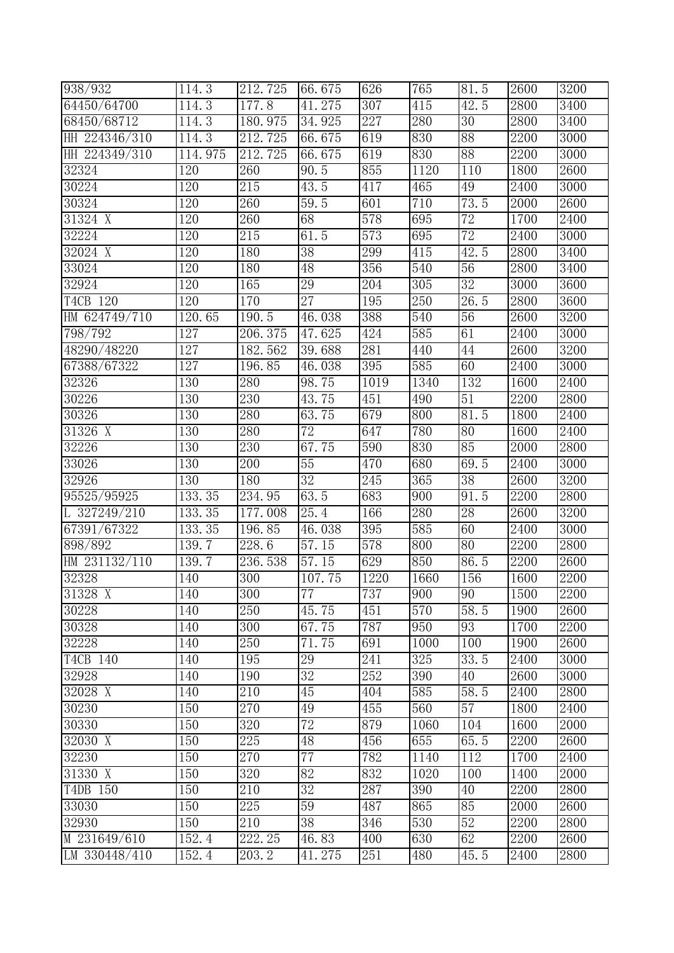| 938/932        | 114.3   | 212.725          | 66.675          | 626  | 765  | $\overline{8}1.5$ | <b>2600</b>       | 3200 |
|----------------|---------|------------------|-----------------|------|------|-------------------|-------------------|------|
| 64450/64700    | 114.3   | 177.8            | 41.275          | 307  | 415  | 42.5              | 2800              | 3400 |
| 68450/68712    | 114.3   | 180.975          | 34.925          | 227  | 280  | $\overline{30}$   | 2800              | 3400 |
| HH 224346/310  | 114.3   | 212.725          | 66.675          | 619  | 830  | 88                | 2200              | 3000 |
| HH 224349/310  | 114.975 | 212.725          | 66.675          | 619  | 830  | 88                | 2200              | 3000 |
| 32324          | 120     | 260              | 90.5            | 855  | 1120 | 110               | 1800              | 2600 |
| 30224          | 120     | $\overline{215}$ | 43.5            | 417  | 465  | 49                | 2400              | 3000 |
| 30324          | 120     | 260              | 59.5            | 601  | 710  | 73.5              | 2000              | 2600 |
| 31324 X        | 120     | 260              | 68              | 578  | 695  | $\overline{72}$   | 1700              | 2400 |
| 32224          | 120     | 215              | 61.5            | 573  | 695  | 72                | 2400              | 3000 |
| 32024 X        | 120     | 180              | $\overline{38}$ | 299  | 415  | 42.5              | 2800              | 3400 |
| 33024          | 120     | 180              | 48              | 356  | 540  | $\overline{56}$   | 2800              | 3400 |
| 32924          | 120     | 165              | 29              | 204  | 305  | $\overline{32}$   | $\overline{3}000$ | 3600 |
| T4CB 120       | 120     | 170              | $\overline{27}$ | 195  | 250  | 26.5              | 2800              | 3600 |
| HM 624749/710  | 120.65  | 190.5            | 46.038          | 388  | 540  | 56                | 2600              | 3200 |
| 798/792        | 127     | 206.375          | 47.625          | 424  | 585  | 61                | 2400              | 3000 |
| 48290/48220    | 127     | 182.562          | 39.688          | 281  | 440  | 44                | 2600              | 3200 |
| 67388/67322    | 127     | 196.85           | 46.038          | 395  | 585  | 60                | 2400              | 3000 |
| 32326          | 130     | 280              | 98.75           | 1019 | 1340 | 132               | 1600              | 2400 |
| 30226          | 130     | 230              | 43.75           | 451  | 490  | 51                | 2200              | 2800 |
| 30326          | 130     | 280              | 63.75           | 679  | 800  | 81.5              | 1800              | 2400 |
| 31326 X        | 130     | 280              | $\overline{72}$ | 647  | 780  | 80                | 1600              | 2400 |
| 32226          | 130     | 230              | 67.75           | 590  | 830  | 85                | 2000              | 2800 |
| 33026          | 130     | $\overline{200}$ | $\overline{55}$ | 470  | 680  | 69.5              | 2400              | 3000 |
| 32926          | 130     | 180              | 32              | 245  | 365  | 38                | 2600              | 3200 |
| 95525/95925    | 133.35  | 234.95           | 63.5            | 683  | 900  | 91.5              | 2200              | 2800 |
| L $327249/210$ | 133.35  | 177.008          | 25.4            | 166  | 280  | 28                | 2600              | 3200 |
| 67391/67322    | 133.35  | 196.85           | 46.038          | 395  | 585  | 60                | <b>2400</b>       | 3000 |
| 898/892        | 139.7   | 228.6            | 57.15           | 578  | 800  | 80                | 2200              | 2800 |
| HM 231132/110  | 139.7   | 236.538          | 57.15           | 629  | 850  | 86.5              | 2200              | 2600 |
| 32328          | 140     | 300              | 107.75          | 1220 | 1660 | 156               | 1600              | 2200 |
| 31328 X        | 140     | $\overline{300}$ | 77              | 737  | 900  | 90                | 1500              | 2200 |
| 30228          | 140     | $\overline{250}$ | 45.75           | 451  | 570  | 58.5              | 1900              | 2600 |
| 30328          | 140     | 300              | 67.75           | 787  | 950  | 93                | 1700              | 2200 |
| 32228          | 140     | 250              | 71.75           | 691  | 1000 | 100               | 1900              | 2600 |
| T4CB 140       | 140     | 195              | 29              | 241  | 325  | 33.5              | 2400              | 3000 |
| 32928          | 140     | 190              | 32              | 252  | 390  | 40                | 2600              | 3000 |
| 32028 X        | 140     | 210              | 45              | 404  | 585  | 58.5              | 2400              | 2800 |
| 30230          | 150     | 270              | 49              | 455  | 560  | 57                | 1800              | 2400 |
| 30330          | 150     | 320              | 72              | 879  | 1060 | 104               | 1600              | 2000 |
| 32030 X        | 150     | 225              | 48              | 456  | 655  | 65.5              | 2200              | 2600 |
| 32230          | 150     | 270              | $\overline{77}$ | 782  | 1140 | 112               | 1700              | 2400 |
| 31330 X        | 150     | 320              | 82              | 832  | 1020 | 100               | 1400              | 2000 |
| T4DB 150       | 150     | 210              | $\overline{32}$ | 287  | 390  | 40                | 2200              | 2800 |
| 33030          | 150     | 225              | 59              | 487  | 865  | 85                | 2000              | 2600 |
| 32930          | 150     | 210              | 38              | 346  | 530  | 52                | 2200              | 2800 |
| $M$ 231649/610 | 152.4   | 222.25           | 46.83           | 400  | 630  | 62                | 2200              | 2600 |
| LM 330448/410  | 152.4   | 203.2            | 41.275          | 251  | 480  | 45.5              | 2400              | 2800 |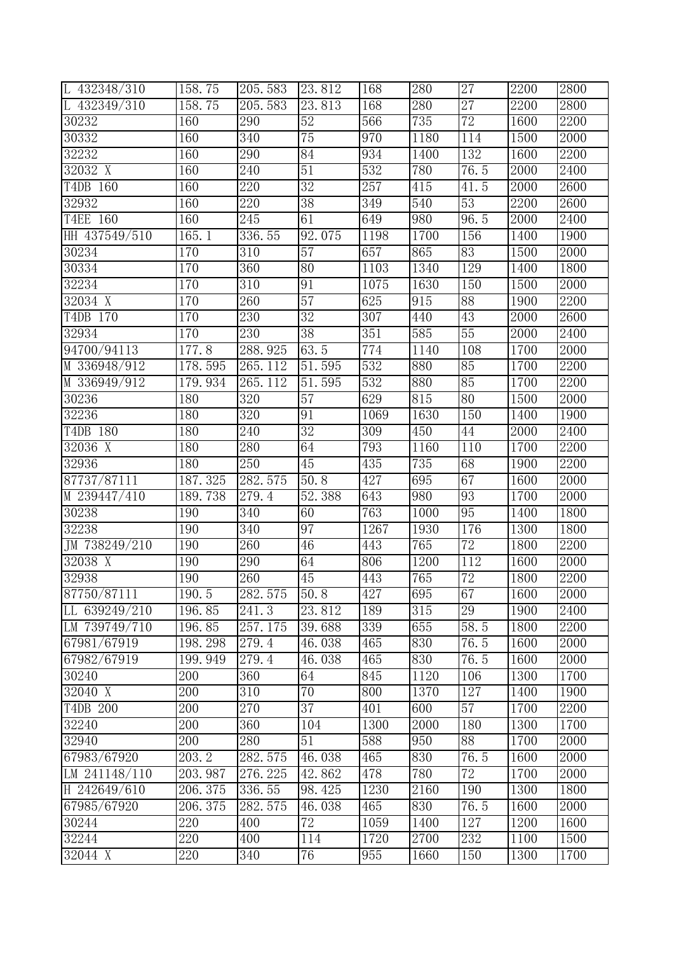| L 432348/310         | 158.75           | 205.583          | 23.812          | 168  | 280  | $\overline{27}$  | 2200 | 2800 |
|----------------------|------------------|------------------|-----------------|------|------|------------------|------|------|
| L $432349/310$       | 158.75           | 205.583          | 23.813          | 168  | 280  | $\overline{27}$  | 2200 | 2800 |
| 30232                | 160              | 290              | 52              | 566  | 735  | 72               | 1600 | 2200 |
| 30332                | 160              | 340              | $\overline{75}$ | 970  | 1180 | 114              | 1500 | 2000 |
| 32232                | 160              | 290              | 84              | 934  | 1400 | 132              | 1600 | 2200 |
| 32032 X              | 160              | 240              | 51              | 532  | 780  | 76.5             | 2000 | 2400 |
| T4DB 160             | 160              | 220              | $\overline{32}$ | 257  | 415  | 41.5             | 2000 | 2600 |
| 32932                | 160              | 220              | 38              | 349  | 540  | 53               | 2200 | 2600 |
| T4EE 160             | 160              | 245              | 61              | 649  | 980  | 96.5             | 2000 | 2400 |
| HH 437549/510        | 165.1            | 336.55           | 92.075          | 1198 | 1700 | 156              | 1400 | 1900 |
| 30234                | 170              | 310              | $\overline{57}$ | 657  | 865  | 83               | 1500 | 2000 |
| 30334                | 170              | 360              | 80              | 1103 | 1340 | 129              | 1400 | 1800 |
| 32234                | 170              | 310              | 91              | 1075 | 1630 | $\overline{150}$ | 1500 | 2000 |
| 32034 X              | 170              | 260              | $\overline{57}$ | 625  | 915  | 88               | 1900 | 2200 |
| T4DB 170             | 170              | 230              | 32              | 307  | 440  | 43               | 2000 | 2600 |
| 32934                | 170              | 230              | $\overline{38}$ | 351  | 585  | $\overline{55}$  | 2000 | 2400 |
| 94700/94113          | 177.8            | 288.925          | 63.5            | 774  | 1140 | 108              | 1700 | 2000 |
| M 336948/912         | 178.595          | 265.112          | 51.595          | 532  | 880  | 85               | 1700 | 2200 |
| M 336949/912         | 179.934          | 265.112          | 51.595          | 532  | 880  | 85               | 1700 | 2200 |
| 30236                | 180              | 320              | 57              | 629  | 815  | 80               | 1500 | 2000 |
| 32236                | 180              | 320              | 91              | 1069 | 1630 | 150              | 1400 | 1900 |
| T4DB 180             | 180              | 240              | $\overline{32}$ | 309  | 450  | 44               | 2000 | 2400 |
| 32036 X              | 180              | 280              | 64              | 793  | 1160 | 110              | 1700 | 2200 |
| 32936                | 180              | 250              | $\overline{45}$ | 435  | 735  | 68               | 1900 | 2200 |
| 87737/87111          | 187.325          | 282.575          | 50.8            | 427  | 695  | 67               | 1600 | 2000 |
| M 239447/410         | 189.738          | 279.4            | 52.388          | 643  | 980  | 93               | 1700 | 2000 |
| 30238                | 190              | $\overline{340}$ | 60              | 763  | 1000 | 95               | 1400 | 1800 |
| 32238                | 190              | 340              | 97              | 1267 | 1930 | 176              | 1300 | 1800 |
| JM 738249/210        | 190              | 260              | 46              | 443  | 765  | 72               | 1800 | 2200 |
| 32038 X              | 190              | 290              | 64              | 806  | 1200 | 112              | 1600 | 2000 |
| 32938                | 190              | 260              | 45              | 443  | 765  | 72               | 1800 | 2200 |
| 87750/87111          | 190.5            | 282.575          | 50.8            | 427  | 695  | 67               | 1600 | 2000 |
| LL 639249/210        | 196.85           | 241.3            | 23.812          | 189  | 315  | 29               | 1900 | 2400 |
| LM 739749/710        | 196.85           | 257.175          | 39.688          | 339  | 655  | 58.5             | 1800 | 2200 |
| 67981/67919          | 198.298          | 279.4            | 46.038          | 465  | 830  | 76.5             | 1600 | 2000 |
| 67982/67919          | 199.949          | 279.4            | 46.038          | 465  | 830  | 76.5             | 1600 | 2000 |
| 30240                | 200              | 360              | 64              | 845  | 1120 | 106              | 1300 | 1700 |
| $32040 \overline{X}$ | $\overline{200}$ | $\overline{310}$ | $\overline{70}$ | 800  | 1370 | 127              | 1400 | 1900 |
| T4DB 200             | 200              | 270              | 37              | 401  | 600  | 57               | 1700 | 2200 |
| 32240                | 200              | 360              | 104             | 1300 | 2000 | 180              | 1300 | 1700 |
| 32940                | 200              | 280              | 51              | 588  | 950  | 88               | 1700 | 2000 |
| 67983/67920          | 203.2            | 282.575          | 46.038          | 465  | 830  | 76.5             | 1600 | 2000 |
| LM 241148/110        | 203.987          | 276.225          | 42.862          | 478  | 780  | 72               | 1700 | 2000 |
| H 242649/610         | 206.375          | 336.55           | 98.425          | 1230 | 2160 | 190              | 1300 | 1800 |
| 67985/67920          | 206.375          | 282.575          | 46.038          | 465  | 830  | 76.5             | 1600 | 2000 |
| 30244                | 220              | 400              | 72              | 1059 | 1400 | 127              | 1200 | 1600 |
| 32244                | 220              | 400              | 114             | 1720 | 2700 | 232              | 1100 | 1500 |
| 32044 X              | 220              | 340              | 76              | 955  | 1660 | 150              | 1300 | 1700 |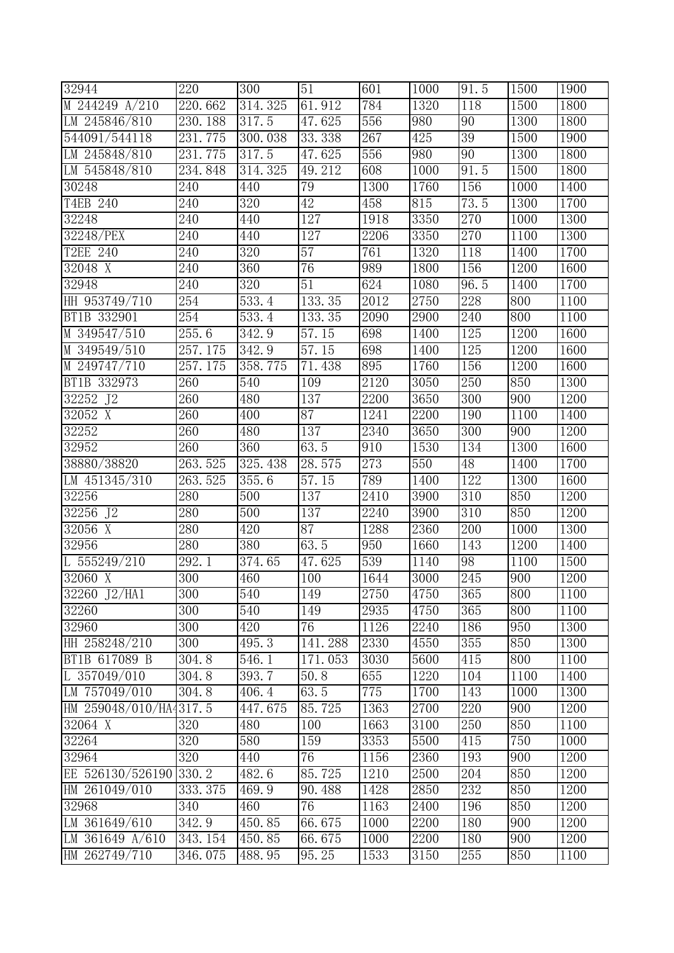| 32944                  | 220                    | 300                | 51              | 601  | 1000 | $\overline{9}1.5$ | 1500 | 1900 |
|------------------------|------------------------|--------------------|-----------------|------|------|-------------------|------|------|
| M 244249 A/210         | 220.662                | 314.325            | 61.912          | 784  | 1320 | 118               | 1500 | 1800 |
| LM 245846/810          | 230.188                | 317.5              | 47.625          | 556  | 980  | $\overline{90}$   | 1300 | 1800 |
| 544091/544118          | 231.775                | 300.038            | 33.338          | 267  | 425  | 39                | 1500 | 1900 |
| LM 245848/810          | $\overline{231}$ . 775 | $317.\overline{5}$ | 47.625          | 556  | 980  | 90                | 1300 | 1800 |
| LM 545848/810          | 234.848                | 314.325            | 49.212          | 608  | 1000 | 91.5              | 1500 | 1800 |
| 30248                  | 240                    | 440                | 79              | 1300 | 1760 | 156               | 1000 | 1400 |
| T4EB 240               | 240                    | 320                | 42              | 458  | 815  | 73.5              | 1300 | 1700 |
| 32248                  | 240                    | 440                | 127             | 1918 | 3350 | 270               | 1000 | 1300 |
| 32248/PEX              | 240                    | 440                | 127             | 2206 | 3350 | 270               | 1100 | 1300 |
| T2EE 240               | 240                    | 320                | $\overline{57}$ | 761  | 1320 | 118               | 1400 | 1700 |
| 32048 X                | 240                    | 360                | 76              | 989  | 1800 | 156               | 1200 | 1600 |
| 32948                  | 240                    | 320                | 51              | 624  | 1080 | 96.5              | 1400 | 1700 |
| HH 953749/710          | 254                    | 533.4              | 133.35          | 2012 | 2750 | 228               | 800  | 1100 |
| BT1B 332901            | 254                    | 533.4              | 133.35          | 2090 | 2900 | 240               | 800  | 1100 |
| M 349547/510           | 255.6                  | 342.9              | 57.15           | 698  | 1400 | 125               | 1200 | 1600 |
| M 349549/510           | 257.175                | 342.9              | 57.15           | 698  | 1400 | 125               | 1200 | 1600 |
| M 249747/710           | 257.175                | 358.775            | 71.438          | 895  | 1760 | 156               | 1200 | 1600 |
| BT1B 332973            | 260                    | 540                | 109             | 2120 | 3050 | 250               | 850  | 1300 |
| 32252 J2               | 260                    | 480                | 137             | 2200 | 3650 | 300               | 900  | 1200 |
| 32052 X                | 260                    | 400                | $\overline{87}$ | 1241 | 2200 | 190               | 1100 | 1400 |
| 32252                  | 260                    | 480                | 137             | 2340 | 3650 | 300               | 900  | 1200 |
| 32952                  | 260                    | 360                | 63.5            | 910  | 1530 | 134               | 1300 | 1600 |
| 38880/38820            | 263.525                | 325.438            | 28.575          | 273  | 550  | 48                | 1400 | 1700 |
| LM 451345/310          | 263.525                | 355.6              | 57.15           | 789  | 1400 | 122               | 1300 | 1600 |
| 32256                  | 280                    | 500                | 137             | 2410 | 3900 | 310               | 850  | 1200 |
| 32256 J2               | 280                    | 500                | 137             | 2240 | 3900 | 310               | 850  | 1200 |
| $32056$ X              | 280                    | 420                | $\overline{87}$ | 1288 | 2360 | $\overline{200}$  | 1000 | 1300 |
| 32956                  | 280                    | 380                | 63.5            | 950  | 1660 | 143               | 1200 | 1400 |
| L $555249/210$         | $\overline{292.1}$     | 374.65             | 47.625          | 539  | 1140 | 98                | 1100 | 1500 |
| 32060 X                | $\overline{300}$       | 460                | 100             | 1644 | 3000 | 245               | 900  | 1200 |
| 32260 J2/HA1           | 300                    | 540                | 149             | 2750 | 4750 | 365               | 800  | 1100 |
| 32260                  | $\overline{300}$       | 540                | 149             | 2935 | 4750 | 365               | 800  | 1100 |
| 32960                  | 300                    | 420                | 76              | 1126 | 2240 | 186               | 950  | 1300 |
| HH 258248/210          | 300                    | 495.3              | 141.288         | 2330 | 4550 | 355               | 850  | 1300 |
| BT1B 617089 B          | 304.8                  | 546.1              | 171.053         | 3030 | 5600 | 415               | 800  | 1100 |
| L $357049/010$         | 304.8                  | 393.7              | 50.8            | 655  | 1220 | 104               | 1100 | 1400 |
| LM 757049/010          | 304.8                  | 406.4              | 63.5            | 775  | 1700 | 143               | 1000 | 1300 |
| HM 259048/010/HA4317.5 |                        | 447.675            | 85.725          | 1363 | 2700 | 220               | 900  | 1200 |
| 32064 X                | 320                    | 480                | 100             | 1663 | 3100 | 250               | 850  | 1100 |
| 32264                  | 320                    | 580                | 159             | 3353 | 5500 | 415               | 750  | 1000 |
| 32964                  | 320                    | 440                | 76              | 1156 | 2360 | 193               | 900  | 1200 |
| EE 526130/526190       | 330.2                  | 482.6              | 85.725          | 1210 | 2500 | 204               | 850  | 1200 |
| HM 261049/010          | 333.375                | 469.9              | 90.488          | 1428 | 2850 | 232               | 850  | 1200 |
| 32968                  | 340                    | 460                | 76              | 1163 | 2400 | 196               | 850  | 1200 |
| LM 361649/610          | 342.9                  | 450.85             | 66.675          | 1000 | 2200 | 180               | 900  | 1200 |
| LM 361649 A/610        | 343.154                | 450.85             | 66.675          | 1000 | 2200 | 180               | 900  | 1200 |
| HM 262749/710          | 346.075                | 488.95             | 95.25           | 1533 | 3150 | 255               | 850  | 1100 |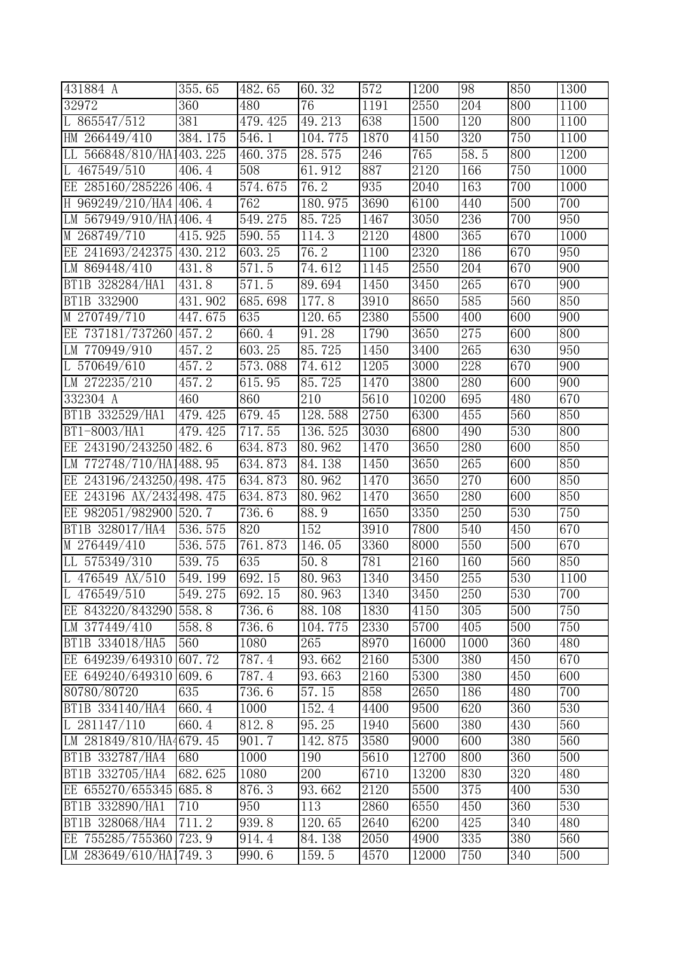| 431884 A                 | 355.65                 | $\overline{482}$ . 65 | 60.32   | 572  | 1200              | 98               | 850 | 1300             |
|--------------------------|------------------------|-----------------------|---------|------|-------------------|------------------|-----|------------------|
| 32972                    | 360                    | 480                   | 76      | 1191 | 2550              | 204              | 800 | 1100             |
| L 865547/512             | 381                    | 479.425               | 49.213  | 638  | 1500              | 120              | 800 | 1100             |
| HM 266449/410            | 384.175                | 546.1                 | 104.775 | 1870 | 4150              | 320              | 750 | 1100             |
| LL 566848/810/HA1403.225 |                        | 460.375               | 28.575  | 246  | 765               | 58.5             | 800 | 1200             |
| L 467549/510             | 406.4                  | 508                   | 61.912  | 887  | 2120              | 166              | 750 | 1000             |
| EE 285160/285226 406.4   |                        | 574.675               | 76.2    | 935  | 2040              | 163              | 700 | 1000             |
| H 969249/210/HA4 406.4   |                        | 762                   | 180.975 | 3690 | 6100              | 440              | 500 | 700              |
| LM 567949/910/HA1406.4   |                        | 549.275               | 85.725  | 1467 | 3050              | 236              | 700 | 950              |
| M 268749/710             | 415.925                | 590.55                | 114.3   | 2120 | 4800              | 365              | 670 | 1000             |
| EE 241693/242375         | 430.212                | 603.25                | 76.2    | 1100 | 2320              | 186              | 670 | 950              |
| LM 869448/410            | $\overline{4}31.8$     | 571.5                 | 74.612  | 1145 | 2550              | 204              | 670 | $\overline{900}$ |
| BT1B 328284/HA1          | 431.8                  | 571.5                 | 89.694  | 1450 | 3450              | 265              | 670 | 900              |
| BT1B 332900              | 431.902                | 685.698               | 177.8   | 3910 | 8650              | 585              | 560 | 850              |
| M 270749/710             | 447.675                | 635                   | 120.65  | 2380 | 5500              | 400              | 600 | 900              |
| EE 737181/737260         | 457.2                  | 660.4                 | 91.28   | 1790 | 3650              | 275              | 600 | 800              |
| LM 770949/910            | 457.2                  | 603.25                | 85.725  | 1450 | 3400              | 265              | 630 | $\overline{950}$ |
| L 570649/610             | 457.2                  | 573.088               | 74.612  | 1205 | 3000              | 228              | 670 | 900              |
| LM 272235/210            | 457.2                  | 615.95                | 85.725  | 1470 | 3800              | 280              | 600 | 900              |
| 332304 A                 | 460                    | 860                   | 210     | 5610 | 10200             | 695              | 480 | 670              |
| BT1B 332529/HA1          | 479.425                | 679.45                | 128.588 | 2750 | 6300              | 455              | 560 | 850              |
| BT1-8003/HA1             | 479.425                | 717.55                | 136.525 | 3030 | 6800              | 490              | 530 | 800              |
| EE 243190/243250         | 482.6                  | 634.873               | 80.962  | 1470 | 3650              | 280              | 600 | 850              |
| LM 772748/710/HA1488.95  |                        | 634.873               | 84.138  | 1450 | 3650              | 265              | 600 | 850              |
| EE 243196/243250/498.475 |                        | 634.873               | 80.962  | 1470 | 3650              | 270              | 600 | 850              |
| EE 243196 AX/2431498.475 |                        | 634.873               | 80.962  | 1470 | 3650              | 280              | 600 | 850              |
| EE 982051/982900 520.7   |                        | 736.6                 | 88.9    | 1650 | 3350              | 250              | 530 | 750              |
| BT1B 328017/HA4          | 536.575                | 820                   | 152     | 3910 | 7800              | 540              | 450 | 670              |
| M 276449/410             | 536.575                | 761.873               | 146.05  | 3360 | 8000              | 550              | 500 | 670              |
| LL 575349/310            | 539.75                 | 635                   | 50.8    | 781  | $\overline{2160}$ | 160              | 560 | 850              |
| L 476549 AX/510          | $\overline{549}$ . 199 | 692.15                | 80.963  | 1340 | 3450              | 255              | 530 | 1100             |
| L 476549/510             | 549.275                | 692.15                | 80.963  | 1340 | 3450              | 250              | 530 | 700              |
| EE 843220/843290         | 558.8                  | 736.6                 | 88.108  | 1830 | 4150              | 305              | 500 | 750              |
| LM 377449/410            | 558.8                  | 736.6                 | 104.775 | 2330 | 5700              | 405              | 500 | 750              |
| BT1B 334018/HA5          | 560                    | 1080                  | 265     | 8970 | 16000             | 1000             | 360 | 480              |
| EE 649239/649310         | 607.72                 | 787.4                 | 93.662  | 2160 | 5300              | 380              | 450 | 670              |
| EE 649240/649310         | 609.6                  | 787.4                 | 93.663  | 2160 | 5300              | 380              | 450 | 600              |
| 80780/80720              | 635                    | 736.6                 | 57.15   | 858  | 2650              | 186              | 480 | 700              |
| BT1B 334140/HA4          | 660.4                  | 1000                  | 152.4   | 4400 | 9500              | 620              | 360 | 530              |
| L $281147/110$           | 660.4                  | 812.8                 | 95.25   | 1940 | 5600              | $\overline{380}$ | 430 | 560              |
| LM 281849/810/HA4679.45  |                        | 901.7                 | 142.875 | 3580 | 9000              | 600              | 380 | 560              |
| BT1B 332787/HA4          | 680                    | 1000                  | 190     | 5610 | 12700             | 800              | 360 | 500              |
| BT1B 332705/HA4          | 682.625                | 1080                  | 200     | 6710 | 13200             | 830              | 320 | 480              |
| EE 655270/655345         | 685.8                  | 876.3                 | 93.662  | 2120 | 5500              | 375              | 400 | 530              |
| BT1B 332890/HA1          | 710                    | $\overline{950}$      | 113     | 2860 | 6550              | 450              | 360 | 530              |
| BT1B 328068/HA4          | 711.2                  | 939.8                 | 120.65  | 2640 | 6200              | 425              | 340 | 480              |
| EE 755285/755360         | 723.9                  | 914.4                 | 84.138  | 2050 | 4900              | 335              | 380 | 560              |
| LM 283649/610/HA1749.3   |                        | 990.6                 | 159.5   | 4570 | 12000             | 750              | 340 | 500              |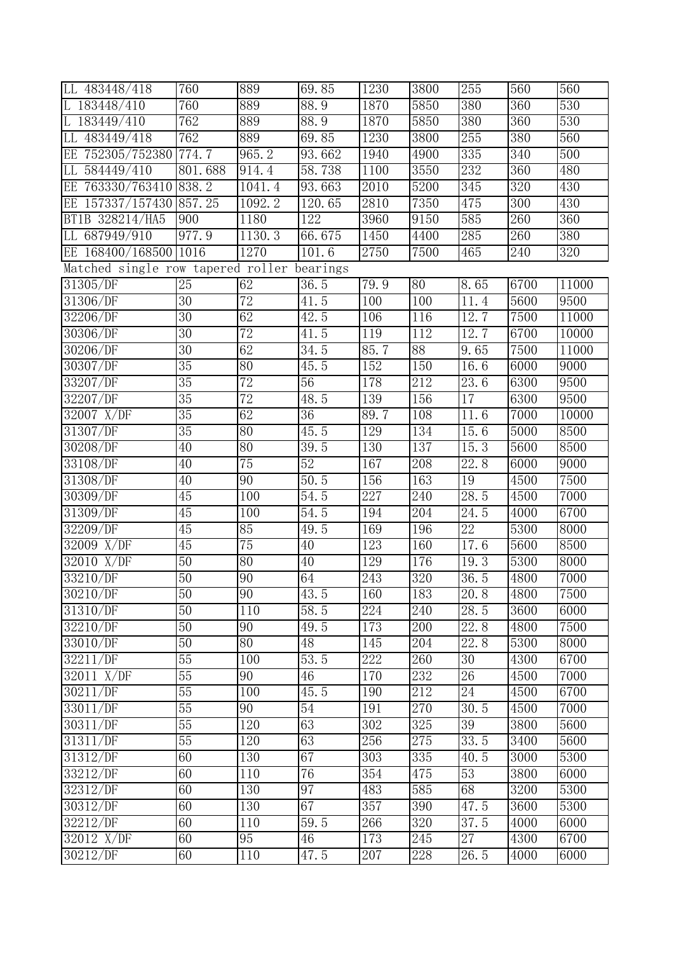| LL 483448/418                     | 760             | 889             | 69.85           | 1230 | 3800            | 255             | 560  | 560              |
|-----------------------------------|-----------------|-----------------|-----------------|------|-----------------|-----------------|------|------------------|
| L 183448/410                      | 760             | 889             | 88.9            | 1870 | 5850            | 380             | 360  | 530              |
| 183449/410                        | 762             | 889             | 88.9            | 1870 | 5850            | 380             | 360  | 530              |
| 483449/418<br>LL                  | 762             | 889             | 69.85           | 1230 | 3800            | 255             | 380  | 560              |
| EE 752305/752380                  | 774.7           | 965.2           | 93.662          | 1940 | 4900            | 335             | 340  | $\overline{500}$ |
| 584449/410<br>LL                  | 801.688         | 914.4           | 58.738          | 1100 | 3550            | 232             | 360  | 480              |
| EE 763330/763410                  | 838.2           | 1041.4          | 93.663          | 2010 | 5200            | 345             | 320  | 430              |
| EE 157337/157430 857.25           |                 | 1092.2          | 120.65          | 2810 | 7350            | 475             | 300  | 430              |
| BT1B 328214/HA5                   | 900             | 1180            | 122             | 3960 | 9150            | 585             | 260  | 360              |
| 687949/910<br>LL                  | 977.9           | 1130.3          | 66.675          | 1450 | 4400            | 285             | 260  | 380              |
| EE 168400/168500 1016             |                 | 1270            | 101.6           | 2750 | 7500            | 465             | 240  | 320              |
| Matched single row tapered roller |                 |                 | bearings        |      |                 |                 |      |                  |
| 31305/DF                          | 25              | 62              | 36.5            | 79.9 | 80              | 8.65            | 6700 | 11000            |
| 31306/DF                          | $\overline{30}$ | 72              | 41.5            | 100  | 100             | 11.4            | 5600 | 9500             |
| 32206/DF                          | 30              | 62              | 42.5            | 106  | 116             | 12.7            | 7500 | 11000            |
| 30306/DF                          | $\overline{30}$ | $\overline{72}$ | 41.5            | 119  | 112             | 12.7            | 6700 | 10000            |
| 30206/DF                          | $\overline{30}$ | 62              | 34.5            | 85.7 | $\overline{88}$ | 9.65            | 7500 | 11000            |
| 30307/DF                          | 35              | 80              | 45.5            | 152  | 150             | 16.6            | 6000 | 9000             |
| 33207/DF                          | 35              | 72              | 56              | 178  | 212             | 23.6            | 6300 | 9500             |
| 32207/DF                          | 35              | 72              | 48.5            | 139  | 156             | 17              | 6300 | 9500             |
| $32007$ X/DF                      | $\overline{35}$ | 62              | $\overline{36}$ | 89.7 | 108             | 11.6            | 7000 | 10000            |
| 31307/DF                          | $\overline{35}$ | 80              | 45.5            | 129  | 134             | 15.6            | 5000 | 8500             |
| 30208/DF                          | 40              | 80              | 39.5            | 130  | 137             | 15.3            | 5600 | 8500             |
| 33108/DF                          | 40              | $\overline{75}$ | $\overline{52}$ | 167  | 208             | 22.8            | 6000 | 9000             |
| 31308/DF                          | 40              | 90              | 50.5            | 156  | 163             | 19              | 4500 | 7500             |
| 30309/DF                          | 45              | 100             | 54.5            | 227  | 240             | 28.5            | 4500 | 7000             |
| 31309/DF                          | $\overline{45}$ | 100             | 54.5            | 194  | 204             | 24.5            | 4000 | 6700             |
| 32209/DF                          | $\overline{45}$ | 85              | 49.5            | 169  | 196             | 22              | 5300 | 8000             |
| 32009 X/DF                        | 45              | 75              | 40              | 123  | 160             | 17.6            | 5600 | 8500             |
| 32010 X/DF                        | 50              | 80              | 40              | 129  | 176             | 19.3            | 5300 | 8000             |
| 33210/DF                          | $\overline{50}$ | 90              | 64              | 243  | 320             | 36.5            | 4800 | 7000             |
| 30210/DF                          | 50              | 90              | 43.5            | 160  | 183             | 20.8            | 4800 | 7500             |
| 31310/DF                          | $\overline{50}$ | 110             | 58.5            | 224  | 240             | 28.5            | 3600 | 6000             |
| 32210/DF                          | 50              | 90              | 49.5            | 173  | 200             | 22.8            | 4800 | 7500             |
| 33010/DF                          | 50              | 80              | 48              | 145  | 204             | 22.8            | 5300 | 8000             |
| 32211/DF                          | $\overline{55}$ | 100             | 53.5            | 222  | 260             | 30              | 4300 | 6700             |
| $32011$ X/DF                      | $\overline{55}$ | 90              | 46              | 170  | 232             | $\overline{26}$ | 4500 | 7000             |
| 30211/DF                          | 55              | 100             | 45.5            | 190  | 212             | $\overline{24}$ | 4500 | 6700             |
| 33011/DF                          | $\overline{55}$ | 90              | 54              | 191  | 270             | 30.5            | 4500 | 7000             |
| 30311/DF                          | 55              | 120             | 63              | 302  | 325             | $\overline{39}$ | 3800 | 5600             |
| 31311/DF                          | $\overline{55}$ | 120             | 63              | 256  | 275             | 33.5            | 3400 | 5600             |
| 31312/DF                          | 60              | 130             | 67              | 303  | 335             | 40.5            | 3000 | 5300             |
| 33212/DF                          | 60              | 110             | 76              | 354  | 475             | 53              | 3800 | 6000             |
| 32312/DF                          | 60              | 130             | 97              | 483  | 585             | 68              | 3200 | 5300             |
| 30312/DF                          | 60              | 130             | 67              | 357  | 390             | 47.5            | 3600 | 5300             |
| 32212/DF                          | 60              | 110             | 59.5            | 266  | 320             | 37.5            | 4000 | 6000             |
| 32012 X/DF                        | 60              | 95              | 46              | 173  | 245             | $\overline{27}$ | 4300 | 6700             |
| 30212/DF                          | 60              | 110             | 47.5            | 207  | 228             | 26.5            | 4000 | 6000             |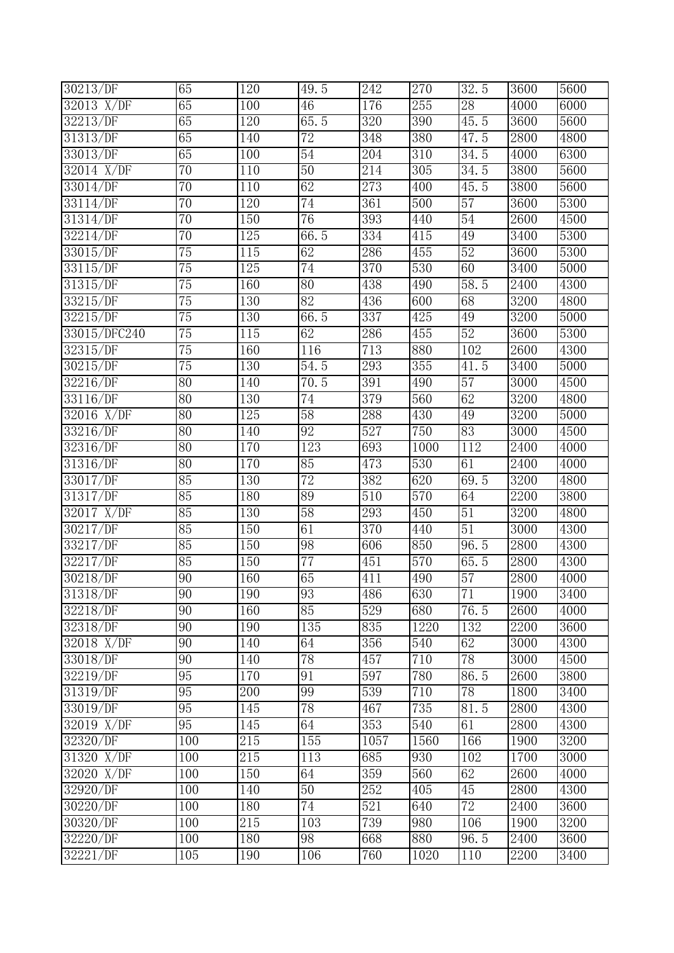| 30213/DF              | 65              | $\overline{120}$ | 49.5            | 242              | $\overline{270}$ | 32.5                | 3600              | 5600 |
|-----------------------|-----------------|------------------|-----------------|------------------|------------------|---------------------|-------------------|------|
| 32013 X/DF            | 65              | 100              | 46              | 176              | 255              | 28                  | 4000              | 6000 |
| 32213/DF              | 65              | 120              | 65.5            | 320              | 390              | 45.5                | 3600              | 5600 |
| 31313/DF              | 65              | 140              | $\overline{72}$ | 348              | 380              | $\overline{4}7.5$   | 2800              | 4800 |
| $33013/\overline{DF}$ | 65              | 100              | 54              | 204              | 310              | $\overline{34}$ . 5 | 4000              | 6300 |
| 32014 X/DF            | $\overline{70}$ | 110              | 50              | 214              | 305              | 34.5                | 3800              | 5600 |
| 33014/DF              | $\overline{70}$ | 110              | 62              | 273              | 400              | 45.5                | 3800              | 5600 |
| 33114/DF              | $\overline{70}$ | 120              | 74              | 361              | 500              | 57                  | 3600              | 5300 |
| 31314/DF              | $\overline{70}$ | 150              | 76              | 393              | 440              | 54                  | 2600              | 4500 |
| 32214/DF              | $\overline{70}$ | 125              | 66.5            | 334              | 415              | 49                  | 3400              | 5300 |
| 33015/DF              | $\overline{75}$ | 115              | 62              | 286              | 455              | 52                  | 3600              | 5300 |
| 33115/DF              | $\overline{75}$ | 125              | 74              | 370              | 530              | 60                  | 3400              | 5000 |
| 31315/DF              | $\overline{75}$ | 160              | $\overline{80}$ | 438              | 490              | 58.5                | 2400              | 4300 |
| 33215/DF              | $\overline{75}$ | 130              | 82              | 436              | 600              | 68                  | 3200              | 4800 |
| 32215/DF              | $\overline{75}$ | 130              | 66.5            | 337              | 425              | 49                  | 3200              | 5000 |
| 33015/DFC240          | 75              | 115              | 62              | 286              | 455              | 52                  | 3600              | 5300 |
| 32315/DF              | $\overline{75}$ | 160              | 116             | 713              | 880              | 102                 | 2600              | 4300 |
| 30215/DF              | $\overline{75}$ | 130              | 54.5            | 293              | 355              | 41.5                | 3400              | 5000 |
| 32216/DF              | 80              | 140              | 70.5            | 391              | 490              | 57                  | 3000              | 4500 |
| 33116/DF              | 80              | 130              | 74              | 379              | 560              | 62                  | 3200              | 4800 |
| $32016$ X/DF          | 80              | 125              | $\overline{58}$ | 288              | 430              | 49                  | $\overline{3200}$ | 5000 |
| 33216/DF              | 80              | 140              | $\overline{92}$ | $\overline{527}$ | 750              | 83                  | 3000              | 4500 |
| 32316/DF              | 80              | 170              | 123             | 693              | 1000             | 112                 | 2400              | 4000 |
| 31316/DF              | 80              | 170              | 85              | 473              | 530              | 61                  | 2400              | 4000 |
| 33017/DF              | 85              | 130              | 72              | 382              | 620              | 69.5                | 3200              | 4800 |
| 31317/DF              | 85              | 180              | 89              | 510              | 570              | 64                  | 2200              | 3800 |
| 32017 X/DF            | 85              | 130              | 58              | 293              | 450              | 51                  | 3200              | 4800 |
| 30217/DF              | 85              | 150              | 61              | 370              | 440              | 51                  | $\overline{3}000$ | 4300 |
| 33217/DF              | 85              | 150              | 98              | 606              | 850              | 96.5                | 2800              | 4300 |
| 32217/DF              | 85              | 150              | $\overline{77}$ | 451              | 570              | 65.5                | 2800              | 4300 |
| 30218/DF              | $\overline{90}$ | 160              | 65              | 411              | 490              | 57                  | 2800              | 4000 |
| 31318/DF              | 90              | 190              | 93              | 486              | 630              | 71                  | 1900              | 3400 |
| 32218/DF              | $\overline{90}$ | 160              | $\overline{85}$ | 529              | 680              | 76.5                | 2600              | 4000 |
| 32318/DF              | 90              | 190              | 135             | 835              | 1220             | 132                 | 2200              | 3600 |
| 32018 X/DF            | 90              | 140              | 64              | 356              | 540              | 62                  | 3000              | 4300 |
| 33018/DF              | 90              | 140              | 78              | 457              | 710              | 78                  | 3000              | 4500 |
| 32219/DF              | 95              | 170              | 91              | 597              | 780              | 86.5                | 2600              | 3800 |
| 31319/DF              | 95              | 200              | 99              | 539              | 710              | 78                  | 1800              | 3400 |
| $33019/\overline{DF}$ | $\overline{95}$ | 145              | 78              | 467              | 735              | 81.5                | 2800              | 4300 |
| 32019 X/DF            | 95              | 145              | 64              | 353              | 540              | 61                  | 2800              | 4300 |
| 32320/DF              | 100             | 215              | 155             | 1057             | 1560             | 166                 | 1900              | 3200 |
| 31320 X/DF            | 100             | $\overline{215}$ | 113             | 685              | 930              | 102                 | 1700              | 3000 |
| 32020 X/DF            | 100             | 150              | 64              | 359              | 560              | 62                  | 2600              | 4000 |
| 32920/DF              | 100             | 140              | $\overline{50}$ | 252              | 405              | $\overline{45}$     | 2800              | 4300 |
| 30220/DF              | 100             | 180              | 74              | 521              | 640              | 72                  | 2400              | 3600 |
| 30320/DF              | 100             | 215              | 103             | 739              | 980              | 106                 | 1900              | 3200 |
| 32220/DF              | 100             | 180              | 98              | 668              | 880              | 96.5                | 2400              | 3600 |
| 32221/DF              | 105             | 190              | 106             | 760              | 1020             | 110                 | 2200              | 3400 |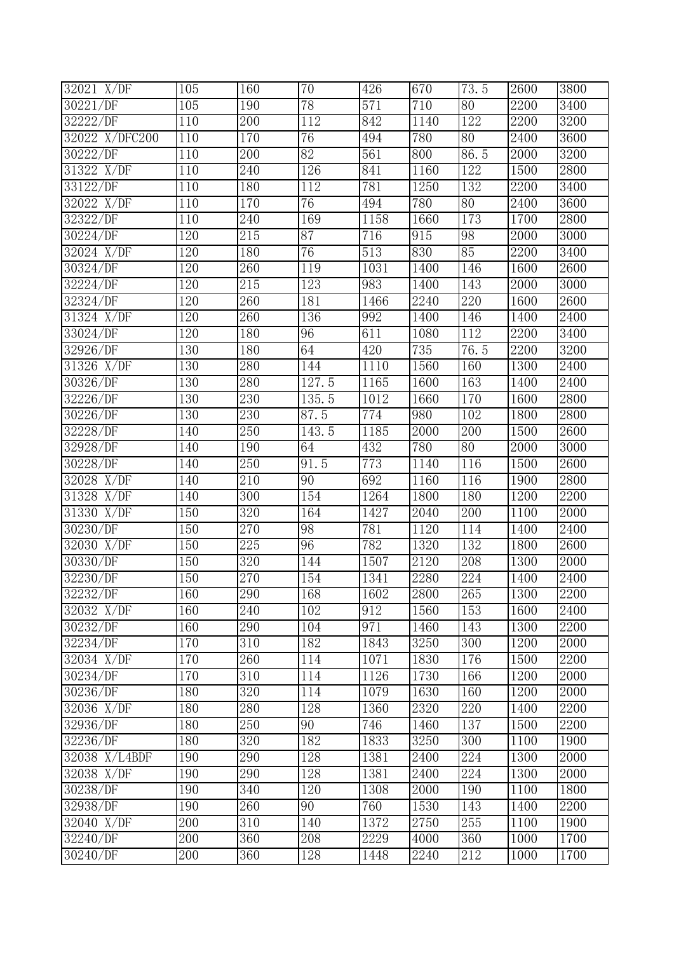| 32021 X/DF            | 105              | 160 | $\overline{70}$      | 426  | 670  | 73.5             | 2600        | 3800 |
|-----------------------|------------------|-----|----------------------|------|------|------------------|-------------|------|
| 30221/DF              | 105              | 190 | 78                   | 571  | 710  | 80               | 2200        | 3400 |
| 32222/DF              | 110              | 200 | 112                  | 842  | 1140 | 122              | 2200        | 3200 |
| 32022 X/DFC200        | 110              | 170 | 76                   | 494  | 780  | 80               | <b>2400</b> | 3600 |
| 30222/DF              | 110              | 200 | $\overline{82}$      | 561  | 800  | 86.5             | 2000        | 3200 |
| 31322 X/DF            | 110              | 240 | 126                  | 841  | 1160 | 122              | 1500        | 2800 |
| 33122/DF              | 110              | 180 | 112                  | 781  | 1250 | 132              | 2200        | 3400 |
| 32022 X/DF            | 110              | 170 | 76                   | 494  | 780  | 80               | 2400        | 3600 |
| 32322/DF              | 110              | 240 | 169                  | 1158 | 1660 | 173              | 1700        | 2800 |
| 30224/DF              | 120              | 215 | 87                   | 716  | 915  | 98               | 2000        | 3000 |
| 32024 X/DF            | 120              | 180 | 76                   | 513  | 830  | 85               | 2200        | 3400 |
| 30324/DF              | 120              | 260 | 119                  | 1031 | 1400 | 146              | 1600        | 2600 |
| 32224/DF              | 120              | 215 | 123                  | 983  | 1400 | 143              | 2000        | 3000 |
| 32324/DF              | 120              | 260 | 181                  | 1466 | 2240 | 220              | 1600        | 2600 |
| 31324 X/DF            | 120              | 260 | 136                  | 992  | 1400 | 146              | 1400        | 2400 |
| 33024/DF              | $\overline{120}$ | 180 | 96                   | 611  | 1080 | 112              | 2200        | 3400 |
| 32926/DF              | 130              | 180 | 64                   | 420  | 735  | 76.5             | 2200        | 3200 |
| 31326 X/DF            | 130              | 280 | 144                  | 1110 | 1560 | 160              | 1300        | 2400 |
| 30326/DF              | 130              | 280 | $\overline{127}$ . 5 | 1165 | 1600 | 163              | 1400        | 2400 |
| 32226/DF              | 130              | 230 | 135.5                | 1012 | 1660 | 170              | 1600        | 2800 |
| 30226/DF              | 130              | 230 | 87.5                 | 774  | 980  | 102              | 1800        | 2800 |
| 32228/DF              | 140              | 250 | 143.5                | 1185 | 2000 | 200              | 1500        | 2600 |
| 32928/DF              | 140              | 190 | 64                   | 432  | 780  | 80               | 2000        | 3000 |
| 30228/DF              | 140              | 250 | 91.5                 | 773  | 1140 | 116              | 1500        | 2600 |
| 32028 X/DF            | 140              | 210 | $\overline{90}$      | 692  | 1160 | 116              | 1900        | 2800 |
| 31328 X/DF            | 140              | 300 | 154                  | 1264 | 1800 | 180              | 1200        | 2200 |
| 31330 X/DF            | 150              | 320 | 164                  | 1427 | 2040 | $\overline{200}$ | 1100        | 2000 |
| 30230/DF              | 150              | 270 | 98                   | 781  | 1120 | 114              | 1400        | 2400 |
| 32030 X/DF            | 150              | 225 | 96                   | 782  | 1320 | 132              | 1800        | 2600 |
| 30330/DF              | 150              | 320 | 144                  | 1507 | 2120 | 208              | 1300        | 2000 |
| 32230/DF              | 150              | 270 | 154                  | 1341 | 2280 | 224              | 1400        | 2400 |
| 32232/DF              | 160              | 290 | 168                  | 1602 | 2800 | 265              | 1300        | 2200 |
| 32032 X/DF            | 160              | 240 | 102                  | 912  | 1560 | 153              | 1600        | 2400 |
| $3023\overline{2/DF}$ | 160              | 290 | 104                  | 971  | 1460 | 143              | 1300        | 2200 |
| 32234/DF              | 170              | 310 | 182                  | 1843 | 3250 | 300              | 1200        | 2000 |
| 32034 X/DF            | 170              | 260 | 114                  | 1071 | 1830 | 176              | 1500        | 2200 |
| 30234/DF              | 170              | 310 | 114                  | 1126 | 1730 | 166              | 1200        | 2000 |
| 30236/DF              | 180              | 320 | 114                  | 1079 | 1630 | 160              | 1200        | 2000 |
| 32036 X/DF            | 180              | 280 | 128                  | 1360 | 2320 | 220              | 1400        | 2200 |
| 32936/DF              | 180              | 250 | $\overline{90}$      | 746  | 1460 | 137              | 1500        | 2200 |
| $32\overline{236/DF}$ | 180              | 320 | 182                  | 1833 | 3250 | 300              | 1100        | 1900 |
| 32038 X/L4BDF         | 190              | 290 | 128                  | 1381 | 2400 | 224              | 1300        | 2000 |
| $32038$ X/DF          | 190              | 290 | 128                  | 1381 | 2400 | 224              | 1300        | 2000 |
| $30238/\overline{DF}$ | 190              | 340 | 120                  | 1308 | 2000 | 190              | 1100        | 1800 |
| 32938/DF              | 190              | 260 | 90                   | 760  | 1530 | 143              | 1400        | 2200 |
| 32040 X/DF            | 200              | 310 | 140                  | 1372 | 2750 | 255              | 1100        | 1900 |
| 32240/DF              | 200              | 360 | 208                  | 2229 | 4000 | 360              | 1000        | 1700 |
| 30240/DF              | 200              | 360 | 128                  | 1448 | 2240 | 212              | 1000        | 1700 |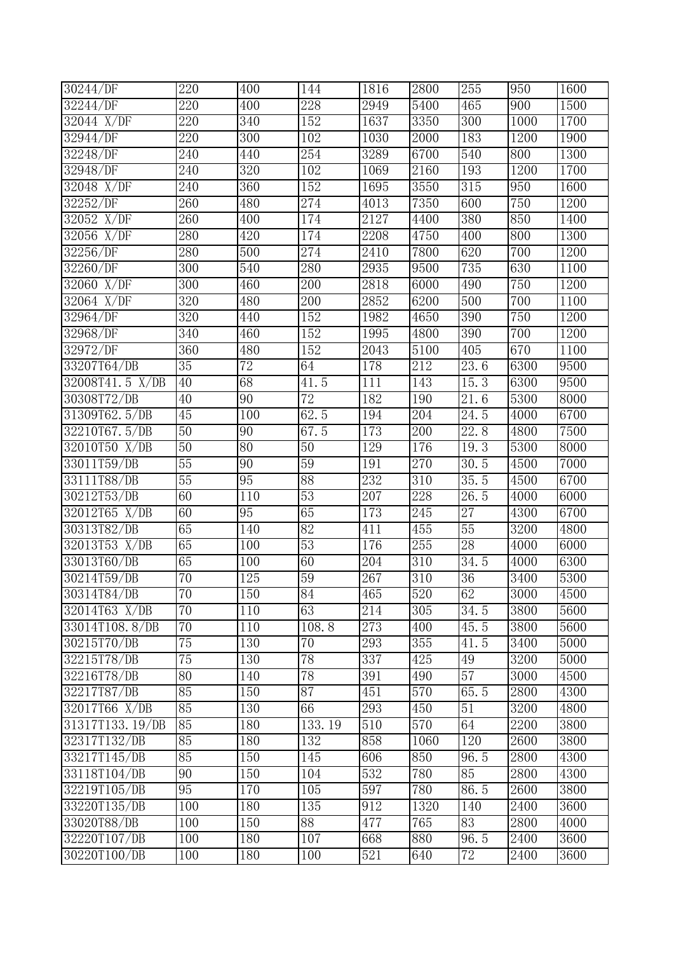| 30244/DF              | 220              | 400             | 144              | 1816 | 2800             | 255               | 950  | 1600 |
|-----------------------|------------------|-----------------|------------------|------|------------------|-------------------|------|------|
| 32244/DF              | 220              | 400             | 228              | 2949 | 5400             | 465               | 900  | 1500 |
| 32044 X/DF            | 220              | 340             | 152              | 1637 | 3350             | 300               | 1000 | 1700 |
| 32944/DF              | 220              | 300             | 102              | 1030 | 2000             | 183               | 1200 | 1900 |
| 32248/DF              | 240              | 440             | 254              | 3289 | 6700             | 540               | 800  | 1300 |
| $32948/\overline{DF}$ | 240              | 320             | 102              | 1069 | 2160             | 193               | 1200 | 1700 |
| 32048 X/DF            | 240              | 360             | 152              | 1695 | 3550             | 315               | 950  | 1600 |
| 32252/DF              | 260              | 480             | 274              | 4013 | 7350             | 600               | 750  | 1200 |
| 32052 X/DF            | 260              | 400             | 174              | 2127 | 4400             | 380               | 850  | 1400 |
| $32056$ X/DF          | 280              | 420             | 174              | 2208 | 4750             | 400               | 800  | 1300 |
| 32256/DF              | 280              | 500             | $\overline{274}$ | 2410 | 7800             | 620               | 700  | 1200 |
| 32260/DF              | $\overline{300}$ | 540             | 280              | 2935 | 9500             | 735               | 630  | 1100 |
| 32060 X/DF            | 300              | 460             | 200              | 2818 | 6000             | 490               | 750  | 1200 |
| 32064 X/DF            | 320              | 480             | 200              | 2852 | 6200             | 500               | 700  | 1100 |
| 32964/DF              | 320              | 440             | 152              | 1982 | 4650             | 390               | 750  | 1200 |
| 32968/DF              | 340              | 460             | 152              | 1995 | 4800             | 390               | 700  | 1200 |
| 32972/DF              | 360              | 480             | 152              | 2043 | 5100             | 405               | 670  | 1100 |
| 33207T64/DB           | 35               | $\overline{72}$ | 64               | 178  | 212              | 23.6              | 6300 | 9500 |
| 32008T41.5 X/DB       | 40               | 68              | 41.5             | 111  | 143              | 15.3              | 6300 | 9500 |
| 30308T72/DB           | 40               | 90              | $\overline{72}$  | 182  | 190              | $\overline{21.6}$ | 5300 | 8000 |
| 31309T62.5/DB         | 45               | 100             | 62.5             | 194  | 204              | $\overline{2}4.5$ | 4000 | 6700 |
| 32210T67.5/DB         | $\overline{50}$  | $\overline{90}$ | 67.5             | 173  | 200              | 22.8              | 4800 | 7500 |
| 32010T50 X/DB         | 50               | 80              | 50               | 129  | 176              | 19.3              | 5300 | 8000 |
| 33011T59/DB           | 55               | $\overline{90}$ | 59               | 191  | 270              | 30.5              | 4500 | 7000 |
| 33111T88/DB           | 55               | 95              | 88               | 232  | 310              | 35.5              | 4500 | 6700 |
| 30212T53/DB           | 60               | 110             | $\overline{53}$  | 207  | 228              | 26.5              | 4000 | 6000 |
| 32012T65 X/DB         | 60               | 95              | 65               | 173  | $\overline{245}$ | $\overline{27}$   | 4300 | 6700 |
| 30313T82/DB           | 65               | 140             | $\overline{82}$  | 411  | 455              | 55                | 3200 | 4800 |
| 32013T53 X/DB         | 65               | 100             | $\overline{53}$  | 176  | 255              | 28                | 4000 | 6000 |
| 33013T60/DB           | 65               | 100             | 60               | 204  | 310              | $\overline{34.5}$ | 4000 | 6300 |
| 30214T59/DB           | 70               | 125             | 59               | 267  | 310              | 36                | 3400 | 5300 |
| 30314T84/DB           | 70               | 150             | 84               | 465  | 520              | 62                | 3000 | 4500 |
| 32014T63 X/DB         | 70               | 110             | 63               | 214  | 305              | $\overline{3}4.5$ | 3800 | 5600 |
| 33014T108.8/DB        | 70               | 110             | 108.8            | 273  | 400              | 45.5              | 3800 | 5600 |
| 30215T70/DB           | 75               | 130             | $\overline{70}$  | 293  | 355              | 41.5              | 3400 | 5000 |
| 32215T78/DB           | $\overline{75}$  | 130             | $\overline{78}$  | 337  | 425              | 49                | 3200 | 5000 |
| 32216T78/DB           | 80               | 140             | 78               | 391  | 490              | 57                | 3000 | 4500 |
| 32217T87/DB           | 85               | 150             | 87               | 451  | 570              | 65.5              | 2800 | 4300 |
| 32017T66 X/DB         | 85               | 130             | 66               | 293  | 450              | 51                | 3200 | 4800 |
| 31317T133.19/DB       | 85               | 180             | 133.19           | 510  | 570              | 64                | 2200 | 3800 |
| 32317T132/DB          | 85               | 180             | 132              | 858  | 1060             | 120               | 2600 | 3800 |
| 33217T145/DB          | 85               | 150             | 145              | 606  | 850              | 96.5              | 2800 | 4300 |
| 33118T104/DB          | 90               | 150             | 104              | 532  | 780              | 85                | 2800 | 4300 |
| 32219T105/DB          | 95               | 170             | 105              | 597  | 780              | 86.5              | 2600 | 3800 |
| 33220T135/DB          | 100              | 180             | 135              | 912  | 1320             | 140               | 2400 | 3600 |
| 33020T88/DB           | 100              | 150             | 88               | 477  | 765              | 83                | 2800 | 4000 |
| 32220T107/DB          | 100              | 180             | 107              | 668  | 880              | 96.5              | 2400 | 3600 |
| 30220T100/DB          | 100              | 180             | 100              | 521  | 640              | 72                | 2400 | 3600 |